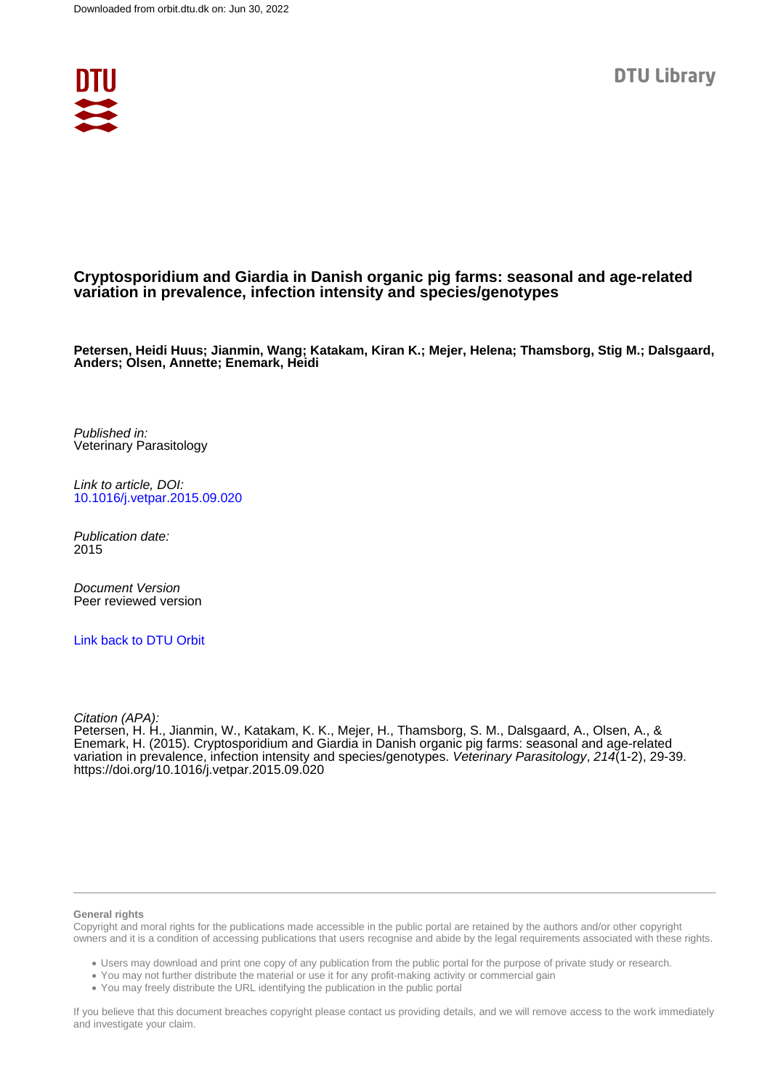

### **Cryptosporidium and Giardia in Danish organic pig farms: seasonal and age-related variation in prevalence, infection intensity and species/genotypes**

**Petersen, Heidi Huus; Jianmin, Wang; Katakam, Kiran K.; Mejer, Helena; Thamsborg, Stig M.; Dalsgaard, Anders; Olsen, Annette; Enemark, Heidi**

Published in: Veterinary Parasitology

Link to article, DOI: [10.1016/j.vetpar.2015.09.020](https://doi.org/10.1016/j.vetpar.2015.09.020)

Publication date: 2015

Document Version Peer reviewed version

[Link back to DTU Orbit](https://orbit.dtu.dk/en/publications/1cde9e95-d02d-4a26-b46f-187d334dc1fb)

Citation (APA):

Petersen, H. H., Jianmin, W., Katakam, K. K., Mejer, H., Thamsborg, S. M., Dalsgaard, A., Olsen, A., & Enemark, H. (2015). Cryptosporidium and Giardia in Danish organic pig farms: seasonal and age-related variation in prevalence, infection intensity and species/genotypes. Veterinary Parasitology, 214(1-2), 29-39. <https://doi.org/10.1016/j.vetpar.2015.09.020>

### **General rights**

Copyright and moral rights for the publications made accessible in the public portal are retained by the authors and/or other copyright owners and it is a condition of accessing publications that users recognise and abide by the legal requirements associated with these rights.

Users may download and print one copy of any publication from the public portal for the purpose of private study or research.

- You may not further distribute the material or use it for any profit-making activity or commercial gain
- You may freely distribute the URL identifying the publication in the public portal

If you believe that this document breaches copyright please contact us providing details, and we will remove access to the work immediately and investigate your claim.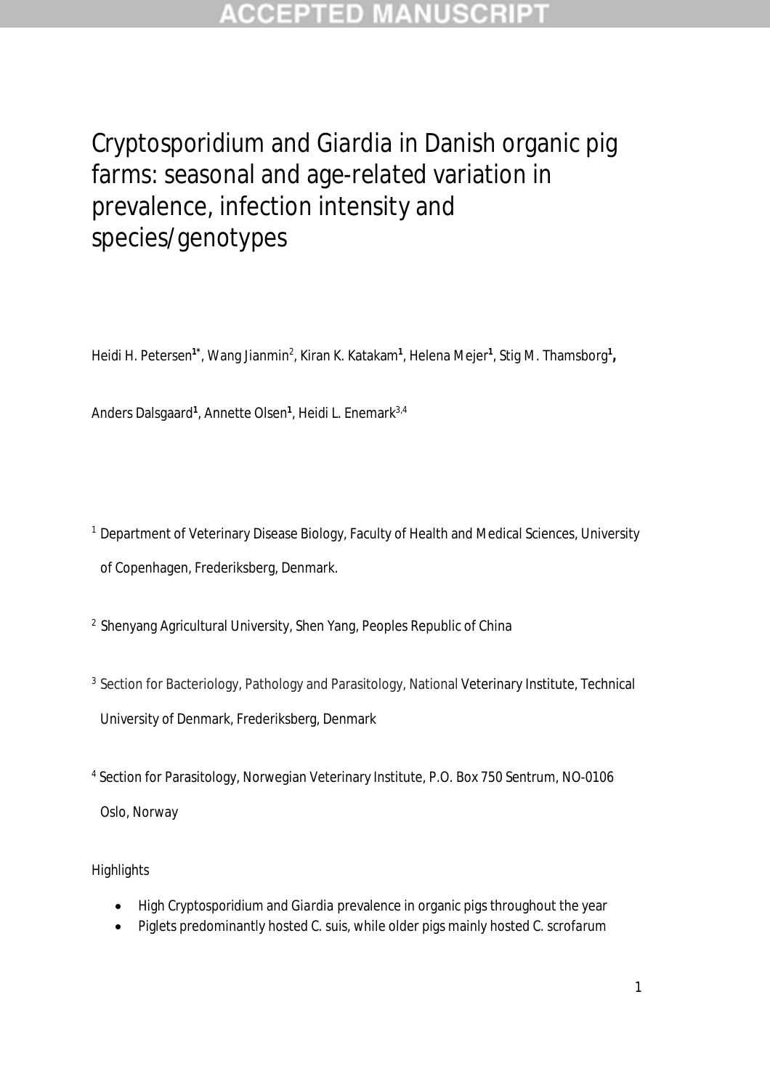## **CCEPTED MANUSCR**

# *Cryptosporidium* and *Giardia* in Danish organic pig farms: seasonal and age-related variation in prevalence, infection intensity and species/genotypes

Heidi H. Petersen<sup>1\*</sup>, Wang Jianmin<sup>2</sup>, Kiran K. Katakam<sup>1</sup>, Helena Mejer<sup>1</sup>, Stig M. Thamsborg<sup>1</sup>,

Anders Dalsgaard<sup>1</sup>, Annette Olsen<sup>1</sup>, Heidi L. Enemark<sup>3,4</sup>

- <sup>1</sup> Department of Veterinary Disease Biology, Faculty of Health and Medical Sciences, University of Copenhagen, Frederiksberg, Denmark.
- <sup>2</sup> Shenyang Agricultural University, Shen Yang, Peoples Republic of China
- <sup>3</sup> Section for Bacteriology, Pathology and Parasitology, National Veterinary Institute, Technical University of Denmark, Frederiksberg, Denmark
- 4 Section for Parasitology, Norwegian Veterinary Institute, P.O. Box 750 Sentrum, NO-0106 Oslo, Norway

### **Highlights**

- High *Cryptosporidium* and *Giardia* prevalence in organic pigs throughout the year
- Piglets predominantly hosted *C. suis,* while older pigs mainly hosted *C. scrofarum*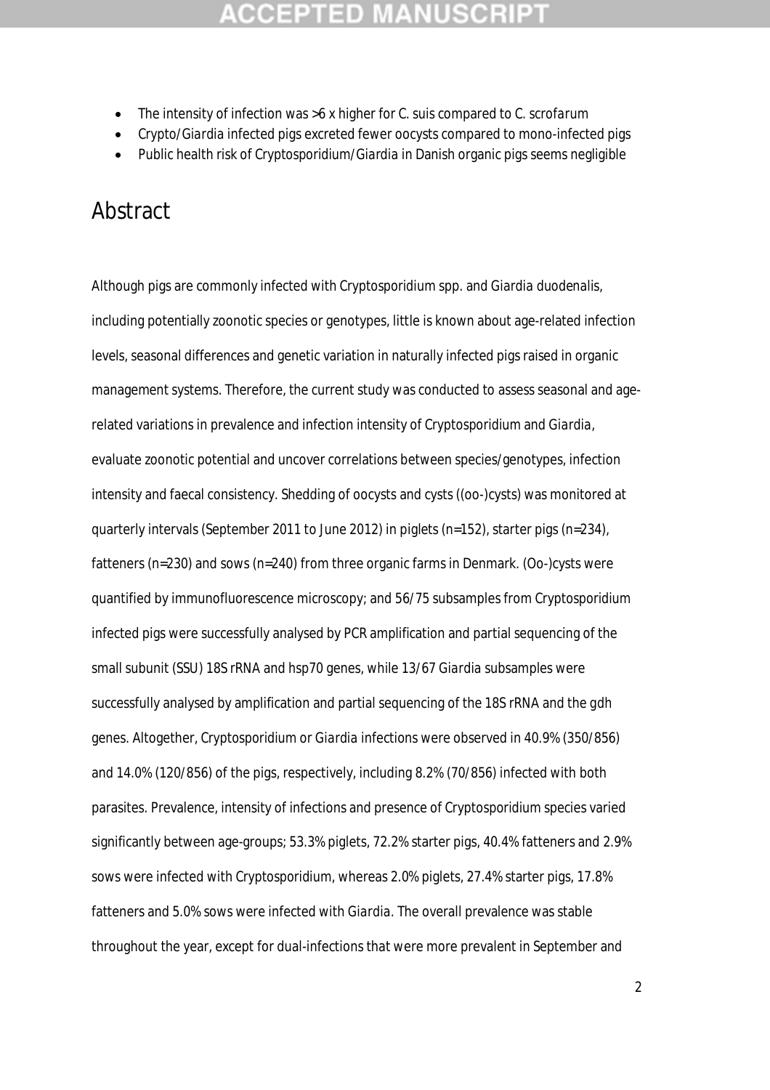- The intensity of infection was >6 x higher for *C. suis* compared to *C. scrofarum*
- *Crypto*/*Giardia* infected pigs excreted fewer oocysts compared to mono-infected pigs
- Public health risk of *Cryptosporidium/Giardia* in Danish organic pigs seems negligible

## Abstract

Although pigs are commonly infected with *Cryptosporidium* spp. and *Giardia duodenalis*, including potentially zoonotic species or genotypes, little is known about age-related infection levels, seasonal differences and genetic variation in naturally infected pigs raised in organic management systems. Therefore, the current study was conducted to assess seasonal and agerelated variations in prevalence and infection intensity of *Cryptosporidium* and *Giardia*, evaluate zoonotic potential and uncover correlations between species/genotypes, infection intensity and faecal consistency. Shedding of oocysts and cysts ((oo-)cysts) was monitored at quarterly intervals (September 2011 to June 2012) in piglets (n=152), starter pigs (n=234), fatteners (n=230) and sows (n=240) from three organic farms in Denmark. (Oo-)cysts were quantified by immunofluorescence microscopy; and 56/75 subsamples from *Cryptosporidium* infected pigs were successfully analysed by PCR amplification and partial sequencing of the small subunit (SSU) 18S rRNA and *hsp70* genes, while 13/67 *Giardia* subsamples were successfully analysed by amplification and partial sequencing of the 18S rRNA and the *gdh* genes. Altogether, *Cryptosporidium* or *Giardia* infections were observed in 40.9% (350/856) and 14.0% (120/856) of the pigs, respectively, including 8.2% (70/856) infected with both parasites. Prevalence, intensity of infections and presence of *Cryptosporidium* species varied significantly between age-groups; 53.3% piglets, 72.2% starter pigs, 40.4% fatteners and 2.9% sows were infected with *Cryptosporidium*, whereas 2.0% piglets, 27.4% starter pigs, 17.8% fatteners and 5.0% sows were infected with *Giardia.* The overall prevalence was stable throughout the year, except for dual-infections that were more prevalent in September and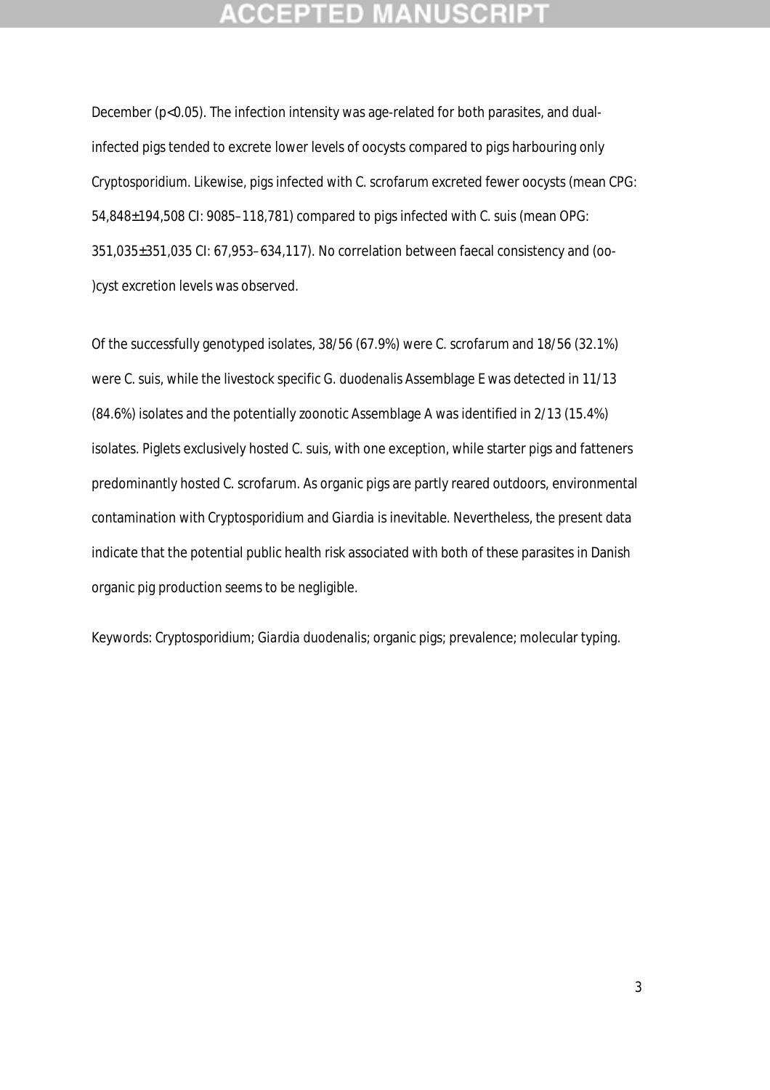## **CEPTED**

December (p<0.05). The infection intensity was age-related for both parasites, and dualinfected pigs tended to excrete lower levels of oocysts compared to pigs harbouring only *Cryptosporidium*. Likewise, pigs infected with *C. scrofarum* excreted fewer oocysts (mean CPG: 54,848±194,508 CI: 9085–118,781) compared to pigs infected with *C. suis* (mean OPG: 351,035±351,035 CI: 67,953–634,117). No correlation between faecal consistency and (oo- )cyst excretion levels was observed.

Of the successfully genotyped isolates, 38/56 (67.9%) were *C. scrofarum* and 18/56 (32.1%) were *C. suis*, while the livestock specific *G. duodenalis* Assemblage E was detected in 11/13 (84.6%) isolates and the potentially zoonotic Assemblage A was identified in 2/13 (15.4%) isolates. Piglets exclusively hosted *C. suis,* with one exception*,* while starter pigs and fatteners predominantly hosted *C. scrofarum.* As organic pigs are partly reared outdoors, environmental contamination with *Cryptosporidium* and *Giardia* is inevitable. Nevertheless, the present data indicate that the potential public health risk associated with both of these parasites in Danish organic pig production seems to be negligible.

Keywords: *Cryptosporidium; Giardia duodenalis*; organic pigs; prevalence; molecular typing.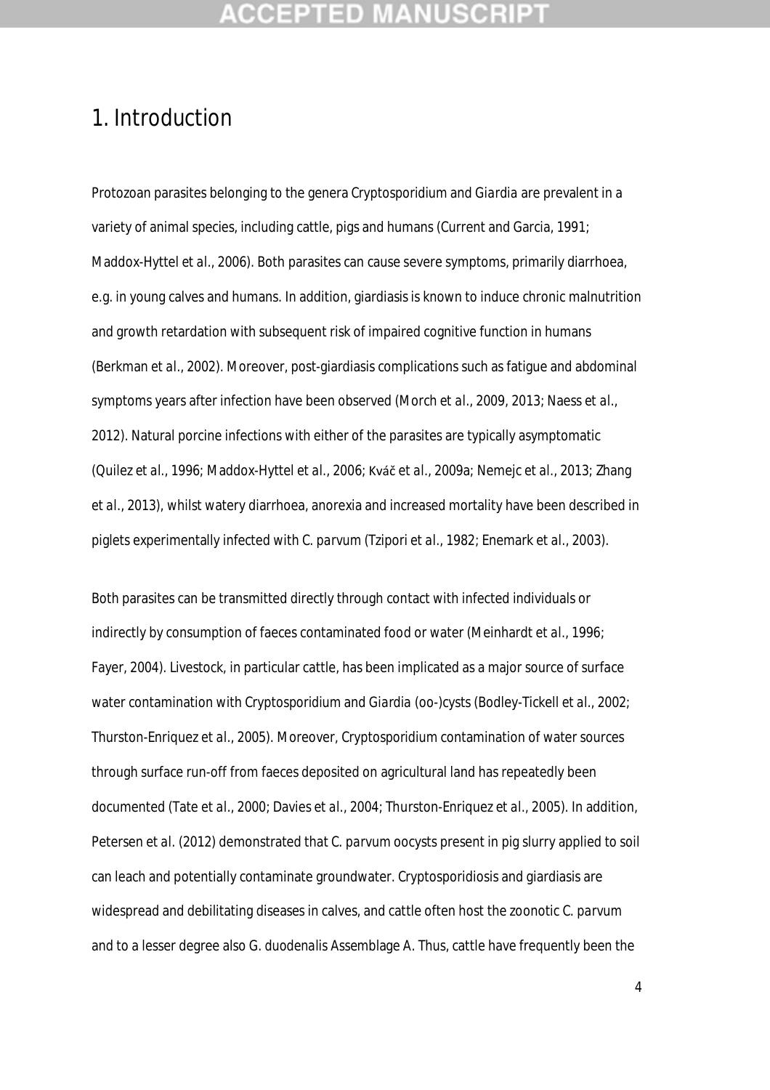## **CEPTED**

## 1. Introduction

Protozoan parasites belonging to the genera *Cryptosporidium* and *Giardia* are prevalent in a variety of animal species, including cattle, pigs and humans (Current and Garcia, 1991; Maddox-Hyttel *et al.*, 2006). Both parasites can cause severe symptoms, primarily diarrhoea, e.g. in young calves and humans. In addition, giardiasis is known to induce chronic malnutrition and growth retardation with subsequent risk of impaired cognitive function in humans (Berkman *et al*., 2002). Moreover, post-giardiasis complications such as fatigue and abdominal symptoms years after infection have been observed (Morch *et al*., 2009, 2013; Naess *et al*., 2012). Natural porcine infections with either of the parasites are typically asymptomatic (Quilez *et al*., 1996; Maddox-Hyttel *et al*., 2006; Kváč *et al*., 2009a; Nemejc *et al*., 2013; Zhang *et al*., 2013), whilst watery diarrhoea, anorexia and increased mortality have been described in piglets experimentally infected with *C. parvum* (Tzipori *et al.,* 1982; Enemark *et al.,* 2003).

Both parasites can be transmitted directly through contact with infected individuals or indirectly by consumption of faeces contaminated food or water (Meinhardt *et al*., 1996; Fayer, 2004). Livestock, in particular cattle, has been implicated as a major source of surface water contamination with *Cryptosporidium* and *Giardia* (oo-)cysts (Bodley-Tickell *et al*., 2002; Thurston-Enriquez *et al.,* 2005). Moreover, *Cryptosporidium* contamination of water sources through surface run-off from faeces deposited on agricultural land has repeatedly been documented (Tate *et al*., 2000; Davies *et al*., 2004; Thurston-Enriquez *et al*., 2005). In addition, Petersen *et al*. (2012) demonstrated that *C. parvum* oocysts present in pig slurry applied to soil can leach and potentially contaminate groundwater. Cryptosporidiosis and giardiasis are widespread and debilitating diseases in calves, and cattle often host the zoonotic *C. parvum* and to a lesser degree also *G. duodenalis* Assemblage A. Thus, cattle have frequently been the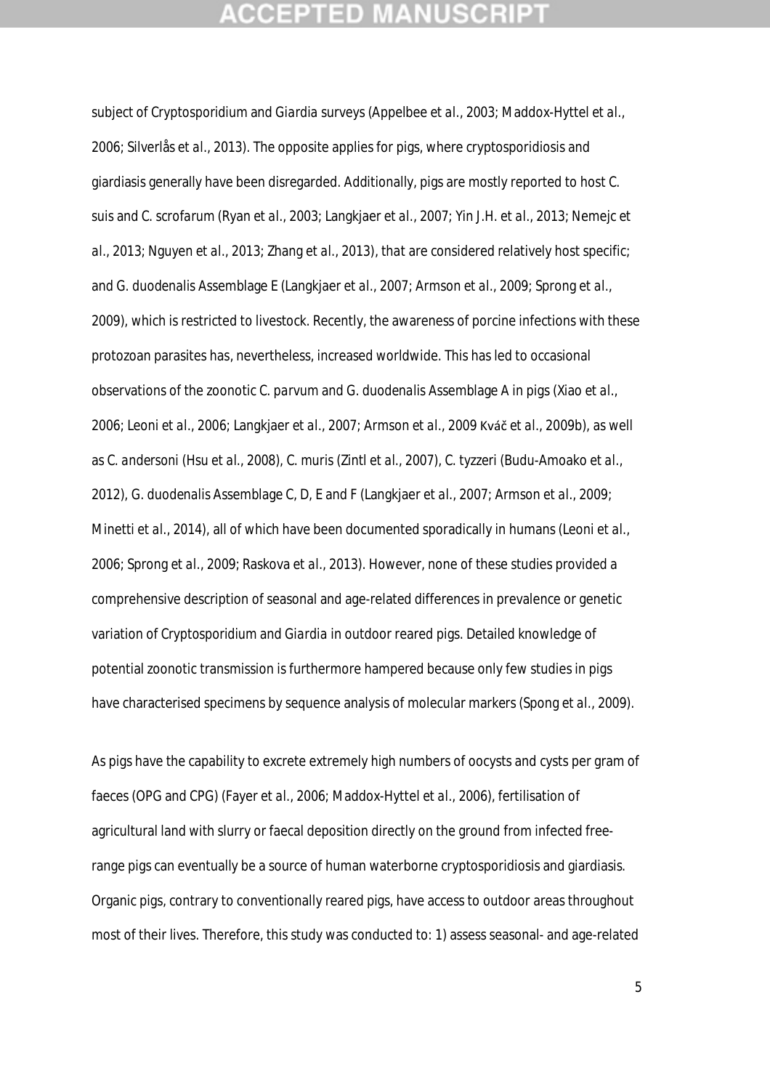subject of *Cryptosporidium* and *Giardia* surveys (Appelbee *et al.,* 2003; Maddox-Hyttel *et al*., 2006; Silverlås *et al*., 2013). The opposite applies for pigs, where cryptosporidiosis and giardiasis generally have been disregarded. Additionally, pigs are mostly reported to host *C. suis* and *C. scrofarum* (Ryan *et al*., 2003; Langkjaer *et al*., 2007; Yin J.H. *et al*., 2013; Nemejc *et al*., 2013; Nguyen *et al*., 2013; Zhang *et al*., 2013), that are considered relatively host specific; and *G. duodenalis* Assemblage E (Langkjaer *et al*., 2007; Armson *et al*., 2009; Sprong *et al*., 2009), which is restricted to livestock. Recently, the awareness of porcine infections with these protozoan parasites has, nevertheless, increased worldwide. This has led to occasional observations of the zoonotic *C. parvum* and *G. duodenalis* Assemblage A in pigs (Xiao *et al*., 2006; Leoni *et al*., 2006; Langkjaer *et al*., 2007; Armson *et al*., 2009 Kváč *et al*., 2009b), as well as *C. andersoni* (Hsu *et al*., 2008)*, C. muris* (Zintl *et al*., 2007), *C. tyzzeri* (Budu-Amoako *et al*., 2012)*, G. duodenalis* Assemblage C, D, E and F (Langkjaer *et al*., 2007; Armson *et al*., 2009; Minetti *et al*., 2014), all of which have been documented sporadically in humans (Leoni *et al*., 2006; Sprong *et al*., 2009; Raskova *et al*., 2013). However, none of these studies provided a comprehensive description of seasonal and age-related differences in prevalence or genetic variation of *Cryptosporidium* and *Giardia* in outdoor reared pigs. Detailed knowledge of potential zoonotic transmission is furthermore hampered because only few studies in pigs have characterised specimens by sequence analysis of molecular markers (Spong *et al*., 2009).

As pigs have the capability to excrete extremely high numbers of oocysts and cysts per gram of faeces (OPG and CPG) (Fayer *et al*., 2006; Maddox-Hyttel *et al*., 2006), fertilisation of agricultural land with slurry or faecal deposition directly on the ground from infected freerange pigs can eventually be a source of human waterborne cryptosporidiosis and giardiasis. Organic pigs, contrary to conventionally reared pigs, have access to outdoor areas throughout most of their lives. Therefore, this study was conducted to: 1) assess seasonal- and age-related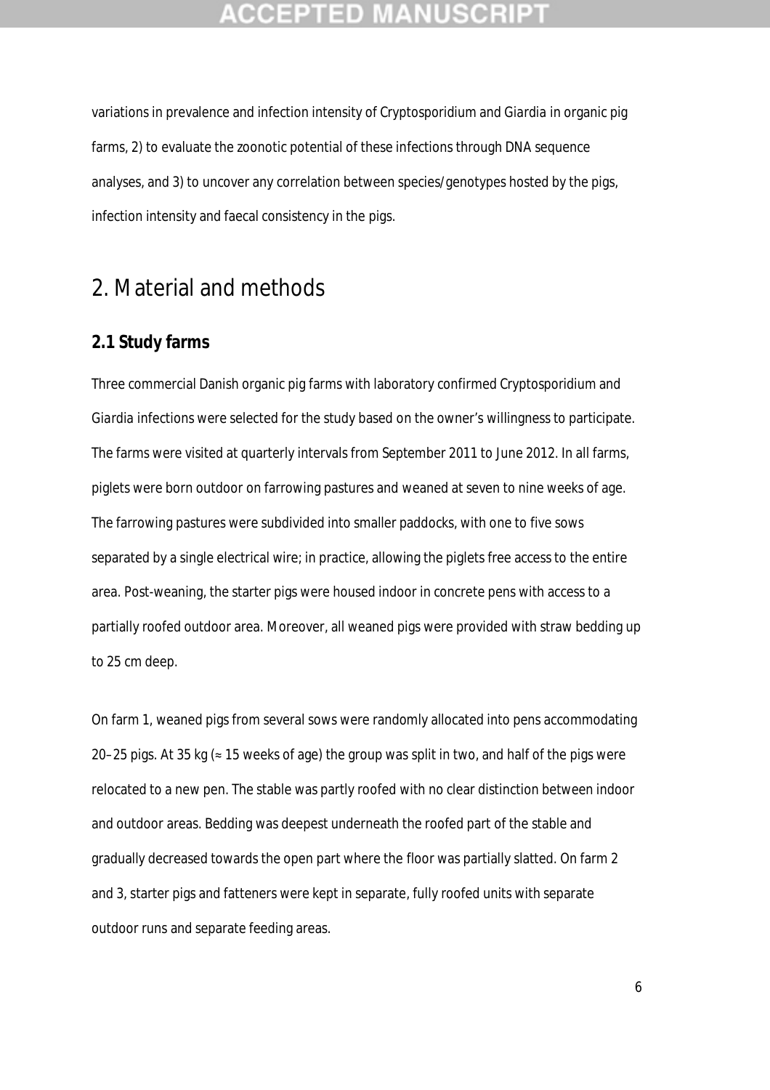## :CEPTED MA

variations in prevalence and infection intensity of *Cryptosporidium* and *Giardia* in organic pig farms, 2) to evaluate the zoonotic potential of these infections through DNA sequence analyses, and 3) to uncover any correlation between species/genotypes hosted by the pigs, infection intensity and faecal consistency in the pigs.

## 2. Material and methods

### **2.1 Study farms**

Three commercial Danish organic pig farms with laboratory confirmed *Cryptosporidium* and *Giardia* infections were selected for the study based on the owner's willingness to participate. The farms were visited at quarterly intervals from September 2011 to June 2012. In all farms, piglets were born outdoor on farrowing pastures and weaned at seven to nine weeks of age. The farrowing pastures were subdivided into smaller paddocks, with one to five sows separated by a single electrical wire; in practice, allowing the piglets free access to the entire area. Post-weaning, the starter pigs were housed indoor in concrete pens with access to a partially roofed outdoor area. Moreover, all weaned pigs were provided with straw bedding up to 25 cm deep.

On farm 1, weaned pigs from several sows were randomly allocated into pens accommodating 20–25 pigs. At 35 kg (≈ 15 weeks of age) the group was split in two, and half of the pigs were relocated to a new pen. The stable was partly roofed with no clear distinction between indoor and outdoor areas. Bedding was deepest underneath the roofed part of the stable and gradually decreased towards the open part where the floor was partially slatted. On farm 2 and 3, starter pigs and fatteners were kept in separate, fully roofed units with separate outdoor runs and separate feeding areas.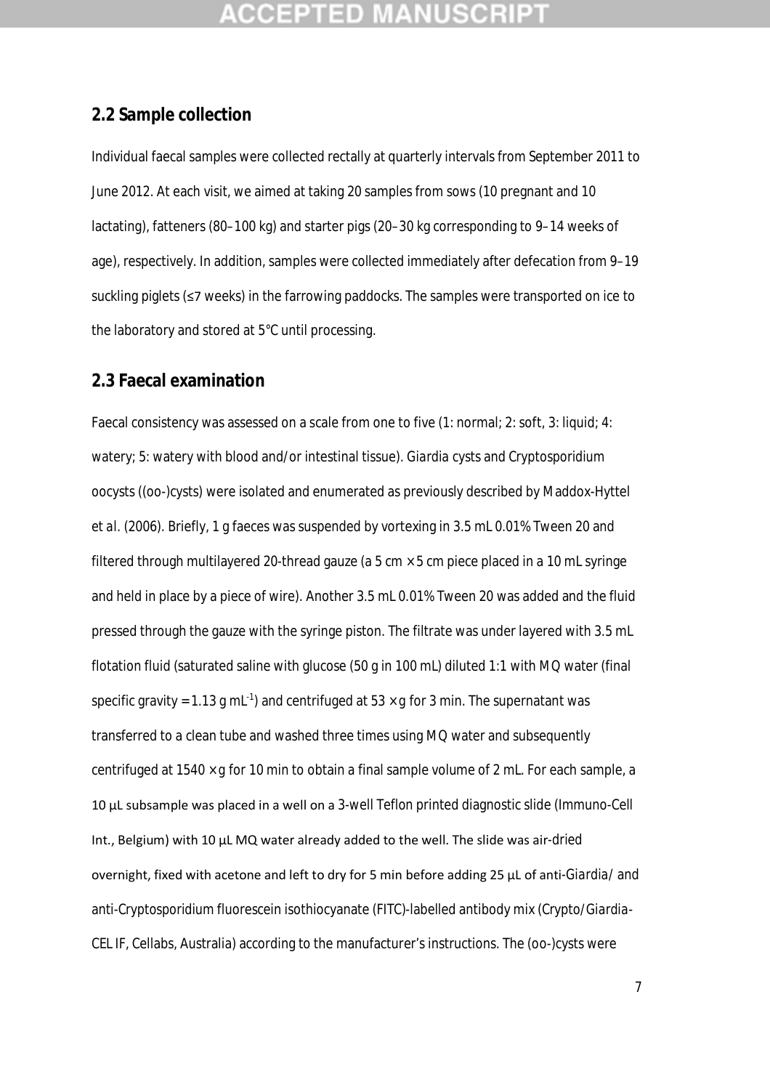## CEPTED)

### **2.2 Sample collection**

Individual faecal samples were collected rectally at quarterly intervals from September 2011 to June 2012. At each visit, we aimed at taking 20 samples from sows (10 pregnant and 10 lactating), fatteners (80–100 kg) and starter pigs (20–30 kg corresponding to 9–14 weeks of age), respectively. In addition, samples were collected immediately after defecation from 9–19 suckling piglets (≤7 weeks) in the farrowing paddocks. The samples were transported on ice to the laboratory and stored at 5°C until processing.

### **2.3 Faecal examination**

Faecal consistency was assessed on a scale from one to five (1: normal; 2: soft, 3: liquid; 4: watery; 5: watery with blood and/or intestinal tissue). *Giardia* cysts and *Cryptosporidium* oocysts ((oo-)cysts) were isolated and enumerated as previously described by Maddox-Hyttel *et al*. (2006). Briefly, 1 g faeces was suspended by vortexing in 3.5 mL 0.01% Tween 20 and filtered through multilayered 20-thread gauze (a  $5 \text{ cm} \times 5 \text{ cm}$  piece placed in a 10 mL syringe and held in place by a piece of wire). Another 3.5 mL 0.01% Tween 20 was added and the fluid pressed through the gauze with the syringe piston. The filtrate was under layered with 3.5 mL flotation fluid (saturated saline with glucose (50 g in 100 mL) diluted 1:1 with MQ water (final specific gravity = 1.13 g mL<sup>-1</sup>) and centrifuged at 53  $\times$  *g* for 3 min. The supernatant was transferred to a clean tube and washed three times using MQ water and subsequently centrifuged at 1540 × *g* for 10 min to obtain a final sample volume of 2 mL. For each sample, a 10 μL subsample was placed in a well on a 3-well Teflon printed diagnostic slide (Immuno-Cell Int., Belgium) with 10 μL MQ water already added to the well. The slide was air-dried overnight, fixed with acetone and left to dry for 5 min before adding 25 μL of anti-*Giardia*/ and anti-*Cryptosporidium* fluorescein isothiocyanate (FITC)-labelled antibody mix (Crypto/*Giardia*-CEL IF, Cellabs, Australia) according to the manufacturer's instructions. The (oo-)cysts were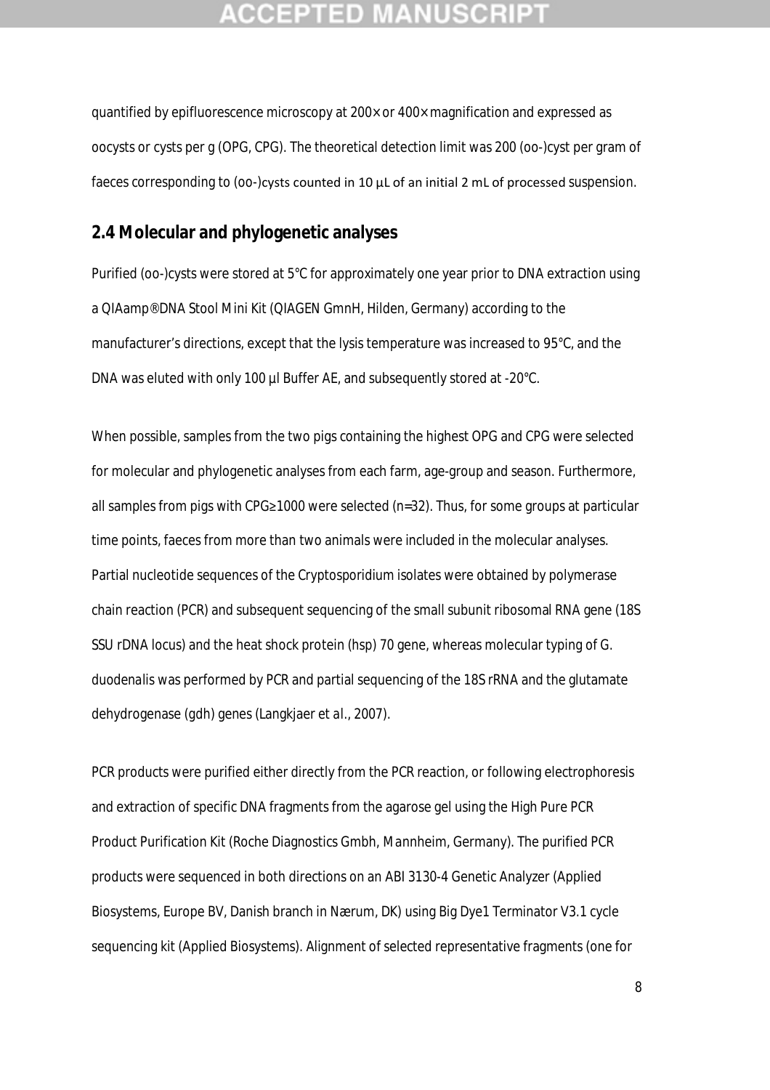## :СЕРТЕD М

quantified by epifluorescence microscopy at 200× or 400× magnification and expressed as oocysts or cysts per g (OPG, CPG). The theoretical detection limit was 200 (oo-)cyst per gram of faeces corresponding to (oo-)cysts counted in 10 μL of an initial 2 mL of processed suspension.

### **2.4 Molecular and phylogenetic analyses**

Purified (oo-)cysts were stored at 5°C for approximately one year prior to DNA extraction using a QIAamp® DNA Stool Mini Kit (QIAGEN GmnH, Hilden, Germany) according to the manufacturer's directions, except that the lysis temperature was increased to 95°C, and the DNA was eluted with only 100 µl Buffer AE, and subsequently stored at -20°C.

When possible, samples from the two pigs containing the highest OPG and CPG were selected for molecular and phylogenetic analyses from each farm, age-group and season. Furthermore, all samples from pigs with CPG≥1000 were selected (*n*=32). Thus, for some groups at particular time points, faeces from more than two animals were included in the molecular analyses. Partial nucleotide sequences of the *Cryptosporidium* isolates were obtained by polymerase chain reaction (PCR) and subsequent sequencing of the small subunit ribosomal RNA gene (18S SSU rDNA locus) and the heat shock protein (*hsp) 70* gene, whereas molecular typing of *G. duodenalis* was performed by PCR and partial sequencing of the 18S rRNA and the glutamate dehydrogenase (*gdh*) genes (Langkjaer *et al*., 2007).

PCR products were purified either directly from the PCR reaction, or following electrophoresis and extraction of specific DNA fragments from the agarose gel using the High Pure PCR Product Purification Kit (Roche Diagnostics Gmbh, Mannheim, Germany). The purified PCR products were sequenced in both directions on an ABI 3130-4 Genetic Analyzer (Applied Biosystems, Europe BV, Danish branch in Nærum, DK) using Big Dye1 Terminator V3.1 cycle sequencing kit (Applied Biosystems). Alignment of selected representative fragments (one for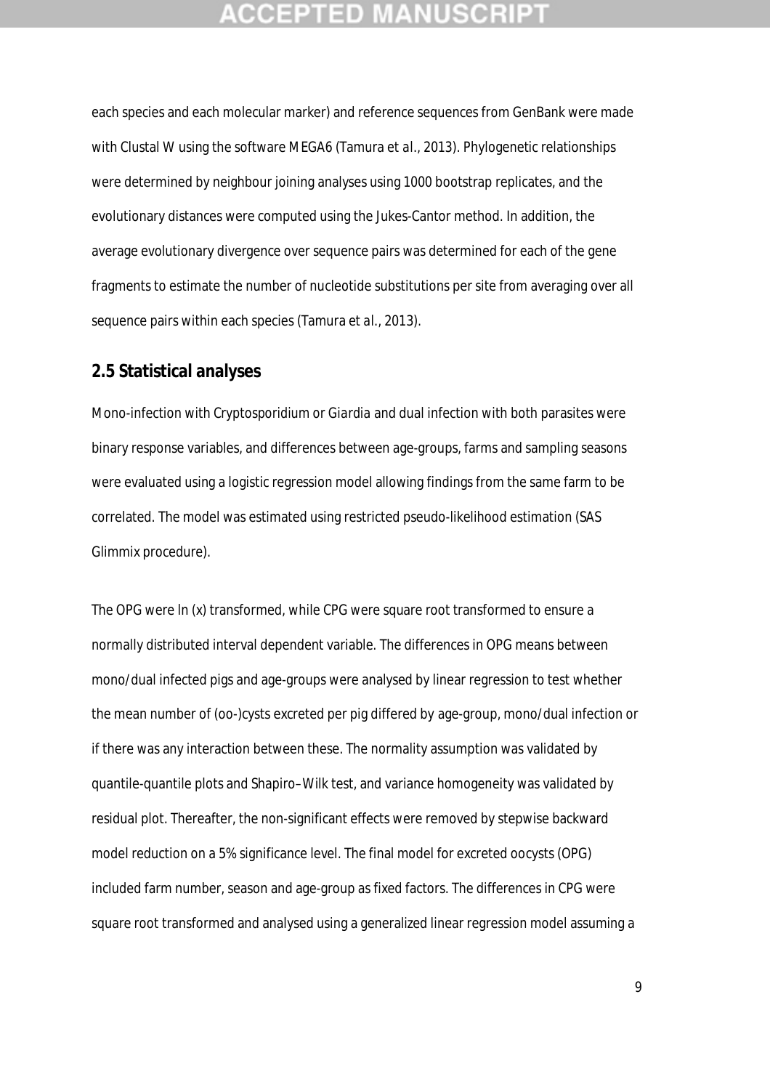## **CEPTED M:**

each species and each molecular marker) and reference sequences from GenBank were made with Clustal W using the software MEGA6 (Tamura *et al*., 2013). Phylogenetic relationships were determined by neighbour joining analyses using 1000 bootstrap replicates, and the evolutionary distances were computed using the Jukes-Cantor method. In addition, the average evolutionary divergence over sequence pairs was determined for each of the gene fragments to estimate the number of nucleotide substitutions per site from averaging over all sequence pairs within each species (Tamura *et al*., 2013).

### **2.5 Statistical analyses**

Mono-infection with *Cryptosporidium* or *Giardia* and dual infection with both parasites were binary response variables, and differences between age-groups, farms and sampling seasons were evaluated using a logistic regression model allowing findings from the same farm to be correlated. The model was estimated using restricted pseudo-likelihood estimation (SAS Glimmix procedure).

The OPG were ln (x) transformed, while CPG were square root transformed to ensure a normally distributed interval dependent variable. The differences in OPG means between mono/dual infected pigs and age-groups were analysed by linear regression to test whether the mean number of (oo-)cysts excreted per pig differed by age-group, mono/dual infection or if there was any interaction between these. The normality assumption was validated by quantile-quantile plots and Shapiro–Wilk test, and variance homogeneity was validated by residual plot. Thereafter, the non-significant effects were removed by stepwise backward model reduction on a 5% significance level. The final model for excreted oocysts (OPG) included farm number, season and age-group as fixed factors. The differences in CPG were square root transformed and analysed using a generalized linear regression model assuming a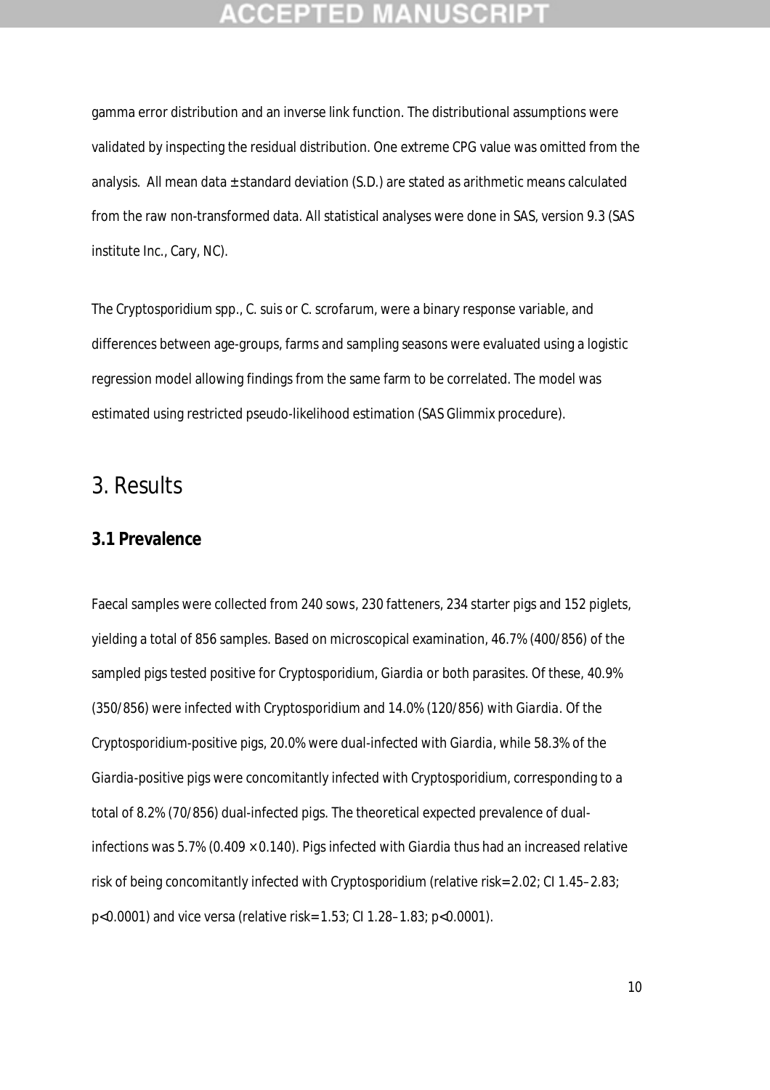## **CCEPTED MAN**

gamma error distribution and an inverse link function. The distributional assumptions were validated by inspecting the residual distribution. One extreme CPG value was omitted from the analysis. All mean data  $\pm$  standard deviation (S.D.) are stated as arithmetic means calculated from the raw non-transformed data. All statistical analyses were done in SAS, version 9.3 (SAS institute Inc., Cary, NC).

The *Cryptosporidium* spp., *C. suis* or *C. scrofarum*, were a binary response variable, and differences between age-groups, farms and sampling seasons were evaluated using a logistic regression model allowing findings from the same farm to be correlated. The model was estimated using restricted pseudo-likelihood estimation (SAS Glimmix procedure).

## 3. Results

### **3.1 Prevalence**

Faecal samples were collected from 240 sows, 230 fatteners, 234 starter pigs and 152 piglets, yielding a total of 856 samples. Based on microscopical examination, 46.7% (400/856) of the sampled pigs tested positive for *Cryptosporidium, Giardia* or both parasites. Of these, 40.9% (350/856) were infected with *Cryptosporidium* and 14.0% (120/856) with *Giardia.* Of the *Cryptosporidium*-positive pigs, 20.0% were dual-infected with *Giardia*, while 58.3% of the *Giardia*-positive pigs were concomitantly infected with *Cryptosporidium*, corresponding to a total of 8.2% (70/856) dual-infected pigs. The theoretical expected prevalence of dualinfections was 5.7% (0.409 × 0.140). Pigs infected with *Giardia* thus had an increased relative risk of being concomitantly infected with *Cryptosporidium* (relative risk= 2.02; CI 1.45–2.83; p<0.0001) and vice versa (relative risk= 1.53; CI 1.28–1.83; p<0.0001).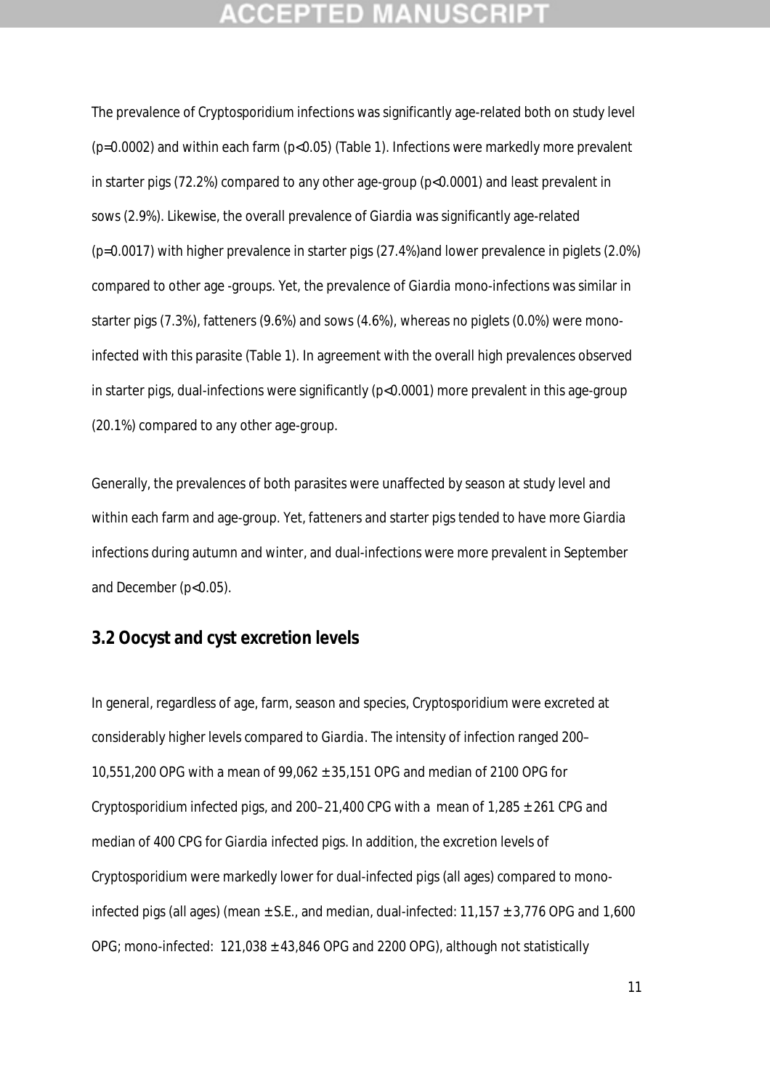## **CCEPTED MAN**

The prevalence of *Cryptosporidium* infections was significantly age-related both on study level (p=0.0002) and within each farm (p<0.05) (Table 1). Infections were markedly more prevalent in starter pigs (72.2%) compared to any other age-group (p<0.0001) and least prevalent in sows (2.9%). Likewise, the overall prevalence of *Giardia* was significantly age-related (p=0.0017) with higher prevalence in starter pigs (27.4%)and lower prevalence in piglets (2.0%) compared to other age -groups. Yet, the prevalence of *Giardia* mono-infections was similar in starter pigs (7.3%), fatteners (9.6%) and sows (4.6%), whereas no piglets (0.0%) were monoinfected with this parasite (Table 1). In agreement with the overall high prevalences observed in starter pigs, dual-infections were significantly (p<0.0001) more prevalent in this age-group (20.1%) compared to any other age-group.

Generally, the prevalences of both parasites were unaffected by season at study level and within each farm and age-group. Yet, fatteners and starter pigs tended to have more *Giardia* infections during autumn and winter, and dual-infections were more prevalent in September and December (p<0.05).

### **3.2 Oocyst and cyst excretion levels**

In general, regardless of age, farm, season and species, *Cryptosporidium* were excreted at considerably higher levels compared to *Giardia*. The intensity of infection ranged 200– 10,551,200 OPG with a mean of 99,062 ± 35,151 OPG and median of 2100 OPG for *Cryptosporidium* infected pigs, and  $200-21,400$  CPG with a mean of  $1,285 \pm 261$  CPG and median of 400 CPG for *Giardia* infected pigs. In addition, the excretion levels of *Cryptosporidium* were markedly lower for dual-infected pigs (all ages) compared to monoinfected pigs (all ages) (mean  $\pm$  S.E., and median, dual-infected: 11,157  $\pm$  3,776 OPG and 1,600 OPG; mono-infected: 121,038 ± 43,846 OPG and 2200 OPG), although not statistically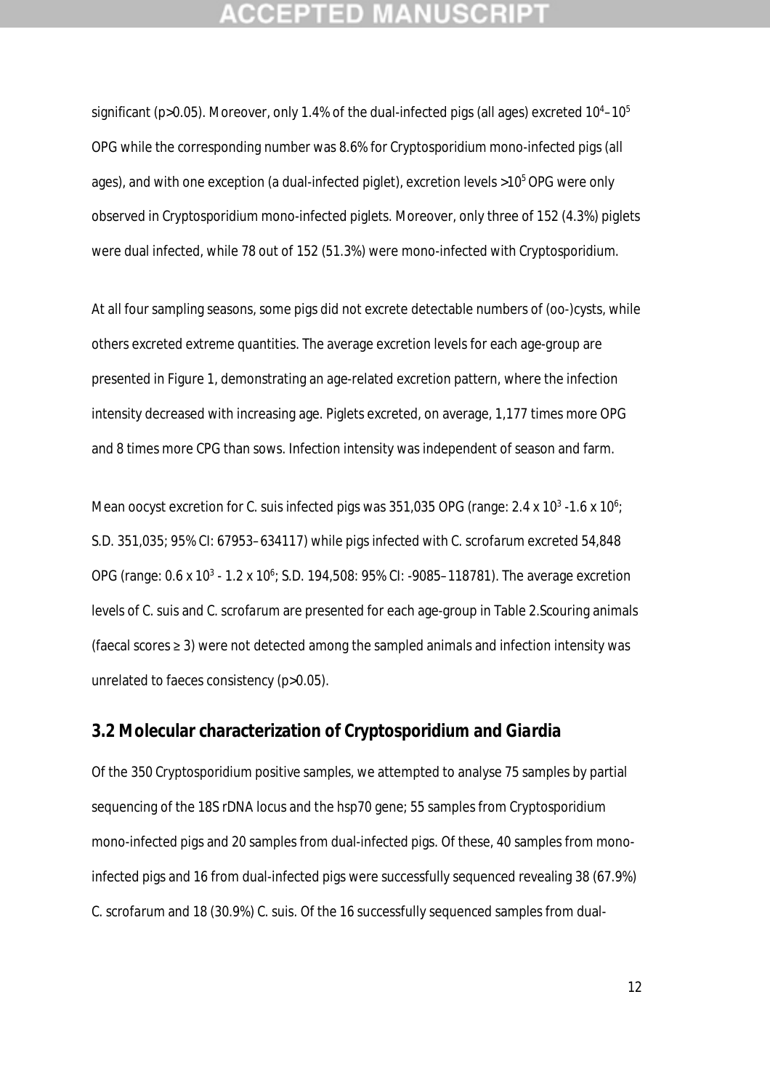## **CEPTED**

significant (p>0.05). Moreover, only 1.4% of the dual-infected pigs (all ages) excreted  $10^4$ – $10^5$ OPG while the corresponding number was 8.6% for *Cryptosporidium* mono-infected pigs (all ages), and with one exception (a dual-infected piglet), excretion levels  $>10^5$  OPG were only observed in *Cryptosporidium* mono-infected piglets. Moreover, only three of 152 (4.3%) piglets were dual infected, while 78 out of 152 (51.3%) were mono-infected with *Cryptosporidium*.

At all four sampling seasons, some pigs did not excrete detectable numbers of (oo-)cysts, while others excreted extreme quantities. The average excretion levels for each age-group are presented in Figure 1, demonstrating an age-related excretion pattern, where the infection intensity decreased with increasing age. Piglets excreted, on average, 1,177 times more OPG and 8 times more CPG than sows. Infection intensity was independent of season and farm.

Mean oocyst excretion for *C. suis* infected pigs was 351,035 OPG (range: 2.4 x 10<sup>3</sup> -1.6 x 10<sup>6</sup>; S.D. 351,035; 95% CI: 67953–634117) while pigs infected with *C. scrofarum* excreted 54,848 OPG (range: 0.6 x 10<sup>3</sup> - 1.2 x 10<sup>6</sup>; S.D. 194,508: 95% CI: -9085-118781). The average excretion levels of *C. suis* and *C. scrofarum* are presented for each age-group in Table 2.Scouring animals (faecal scores ≥ 3) were not detected among the sampled animals and infection intensity was unrelated to faeces consistency (p>0.05).

### **3.2 Molecular characterization of** *Cryptosporidium* **and** *Giardia*

Of the 350 *Cryptosporidium* positive samples, we attempted to analyse 75 samples by partial sequencing of the 18S rDNA locus and the *hsp70* gene; 55 samples from *Cryptosporidium*  mono-infected pigs and 20 samples from dual-infected pigs. Of these, 40 samples from monoinfected pigs and 16 from dual-infected pigs were successfully sequenced revealing 38 (67.9%) *C. scrofarum* and 18 (30.9%) *C. suis*. Of the 16 successfully sequenced samples from dual-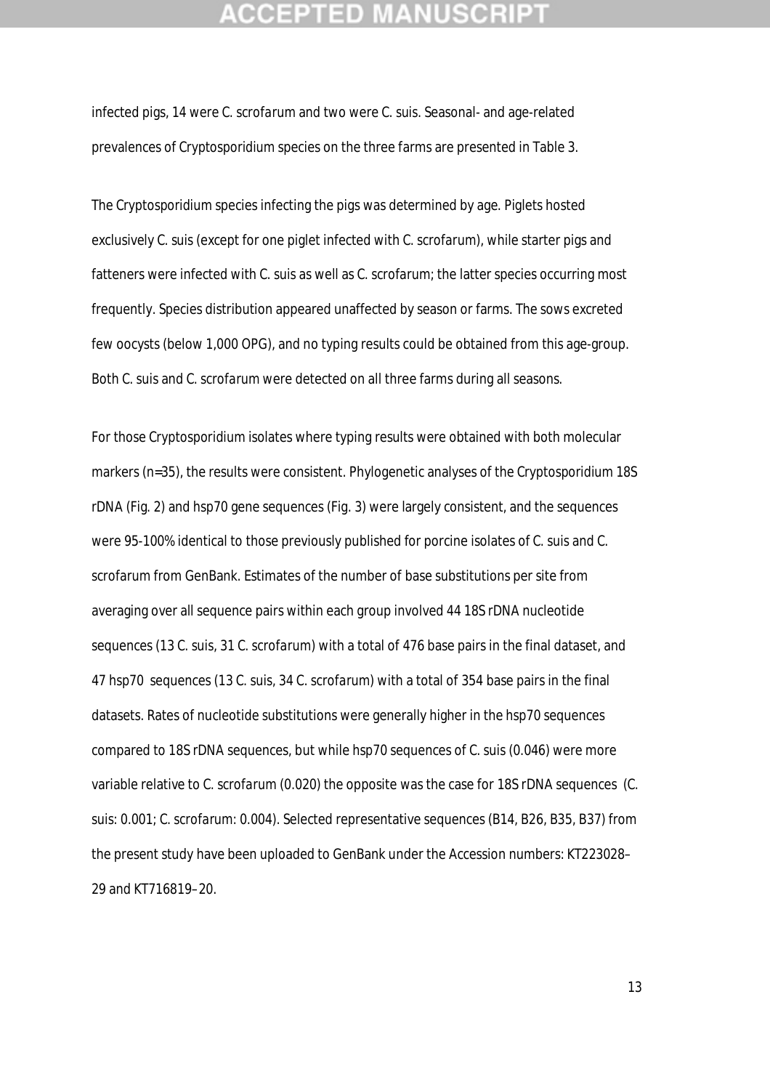## **CEPTED**

infected pigs, 14 were *C. scrofarum* and two were *C. suis*. Seasonal- and age-related prevalences of *Cryptosporidium* species on the three farms are presented in Table 3.

The *Cryptosporidium* species infecting the pigs was determined by age. Piglets hosted exclusively *C. suis* (except for one piglet infected with *C. scrofarum*), while starter pigs and fatteners were infected with *C. suis* as well as *C. scrofarum;* the latter species occurring most frequently. Species distribution appeared unaffected by season or farms. The sows excreted few oocysts (below 1,000 OPG), and no typing results could be obtained from this age-group. Both *C. suis* and *C. scrofarum* were detected on all three farms during all seasons.

For those *Cryptosporidium* isolates where typing results were obtained with both molecular markers (n=35), the results were consistent. Phylogenetic analyses of the *Cryptosporidium* 18S rDNA (Fig. 2) and *hsp70* gene sequences (Fig. 3) were largely consistent, and the sequences were 95-100% identical to those previously published for porcine isolates of *C. suis* and *C. scrofarum* from GenBank. Estimates of the number of base substitutions per site from averaging over all sequence pairs within each group involved 44 18S rDNA nucleotide sequences (13 *C. suis*, 31 *C. scrofarum*) with a total of 476 base pairs in the final dataset, and 47 *hsp70* sequences (13 *C. suis*, 34 C. *scrofarum*) with a total of 354 base pairs in the final datasets. Rates of nucleotide substitutions were generally higher in the *hsp70* sequences compared to 18S rDNA sequences, but while *hsp70* sequences of *C. suis* (0.046) were more variable relative to *C. scrofarum* (0.020) the opposite was the case for 18S rDNA sequences (*C. suis*: 0.001; *C. scrofarum*: 0.004). Selected representative sequences (B14, B26, B35, B37) from the present study have been uploaded to GenBank under the Accession numbers: KT223028– 29 and KT716819–20.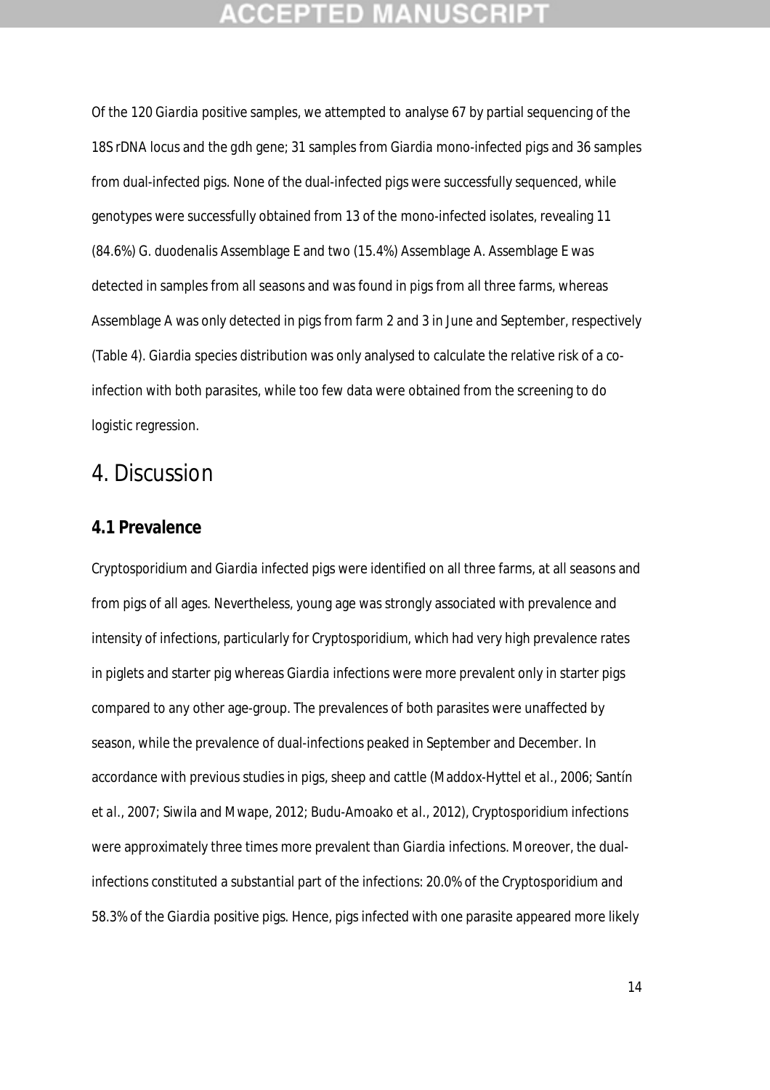## **CCEPTED MANUSCR**

Of the 120 *Giardia* positive samples, we attempted to analyse 67 by partial sequencing of the 18S rDNA locus and the *gdh* gene; 31 samples from *Giardia* mono-infected pigs and 36 samples from dual-infected pigs. None of the dual-infected pigs were successfully sequenced, while genotypes were successfully obtained from 13 of the mono-infected isolates, revealing 11 (84.6%) *G. duodenalis* Assemblage E and two (15.4%) Assemblage A. Assemblage E was detected in samples from all seasons and was found in pigs from all three farms, whereas Assemblage A was only detected in pigs from farm 2 and 3 in June and September, respectively (Table 4). *Giardia* species distribution was only analysed to calculate the relative risk of a coinfection with both parasites, while too few data were obtained from the screening to do logistic regression.

## 4. Discussion

### **4.1 Prevalence**

*Cryptosporidium* and *Giardia* infected pigs were identified on all three farms, at all seasons and from pigs of all ages. Nevertheless, young age was strongly associated with prevalence and intensity of infections, particularly for *Cryptosporidium,* which had very high prevalence rates in piglets and starter pig whereas *Giardia* infections were more prevalent only in starter pigs compared to any other age-group. The prevalences of both parasites were unaffected by season, while the prevalence of dual-infections peaked in September and December. In accordance with previous studies in pigs, sheep and cattle (Maddox-Hyttel *et al*., 2006; Santín *et al*., 2007; Siwila and Mwape, 2012; Budu-Amoako *et al*., 2012), *Cryptosporidium* infections were approximately three times more prevalent than *Giardia* infections. Moreover, the dualinfections constituted a substantial part of the infections: 20.0% of the *Cryptosporidium* and 58.3% of the *Giardia* positive pigs. Hence, pigs infected with one parasite appeared more likely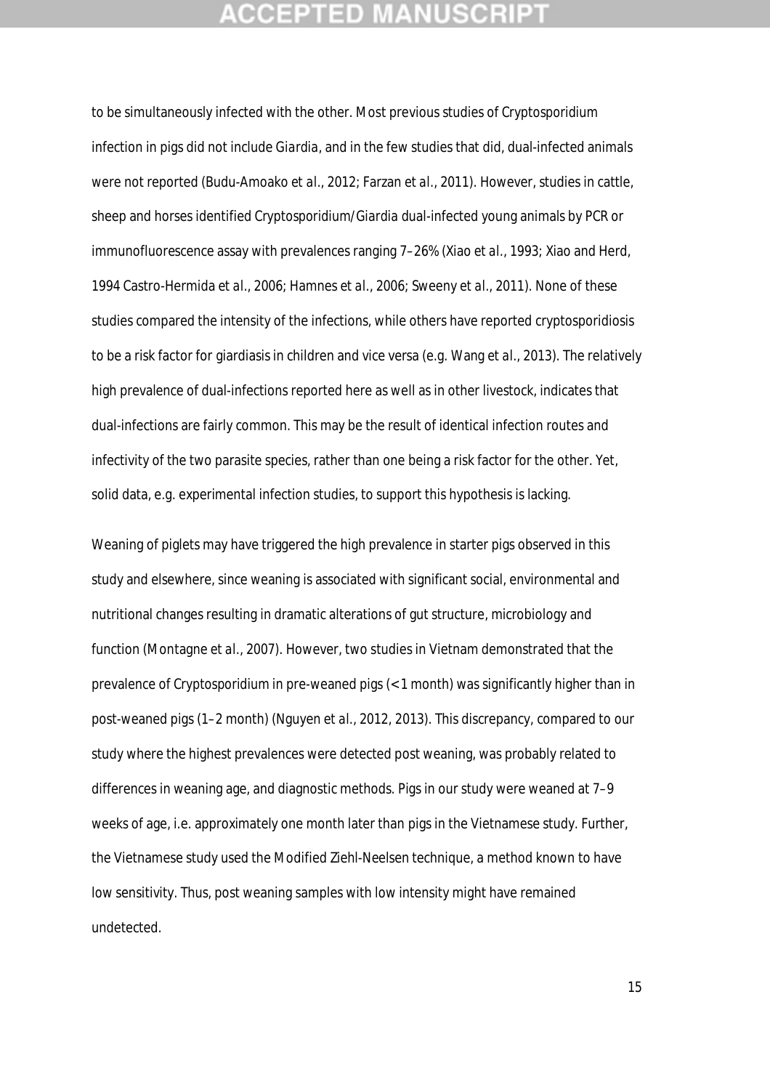## **CEPTED M:**

to be simultaneously infected with the other. Most previous studies of *Cryptosporidium* infection in pigs did not include *Giardia*, and in the few studies that did, dual-infected animals were not reported (Budu-Amoako *et al*., 2012; Farzan *et al*., 2011). However, studies in cattle, sheep and horses identified C*ryptosporidium*/*Giardia* dual-infected young animals by PCR or immunofluorescence assay with prevalences ranging 7–26% (Xiao *et al*., 1993; Xiao and Herd, 1994 Castro-Hermida *et al*., 2006; Hamnes *et al*., 2006; Sweeny *et al*., 2011). None of these studies compared the intensity of the infections, while others have reported cryptosporidiosis to be a risk factor for giardiasis in children and vice versa (e.g. Wang *et al*., 2013). The relatively high prevalence of dual-infections reported here as well as in other livestock, indicates that dual-infections are fairly common. This may be the result of identical infection routes and infectivity of the two parasite species, rather than one being a risk factor for the other. Yet, solid data, e.g. experimental infection studies, to support this hypothesis is lacking.

Weaning of piglets may have triggered the high prevalence in starter pigs observed in this study and elsewhere, since weaning is associated with significant social, environmental and nutritional changes resulting in dramatic alterations of gut structure, microbiology and function (Montagne *et al*., 2007). However, two studies in Vietnam demonstrated that the prevalence of *Cryptosporidium* in pre-weaned pigs (< 1 month) was significantly higher than in post-weaned pigs (1–2 month) (Nguyen *et al.*, 2012, 2013). This discrepancy, compared to our study where the highest prevalences were detected post weaning, was probably related to differences in weaning age, and diagnostic methods. Pigs in our study were weaned at 7–9 weeks of age, i.e. approximately one month later than pigs in the Vietnamese study. Further, the Vietnamese study used the Modified Ziehl-Neelsen technique, a method known to have low sensitivity. Thus, post weaning samples with low intensity might have remained undetected.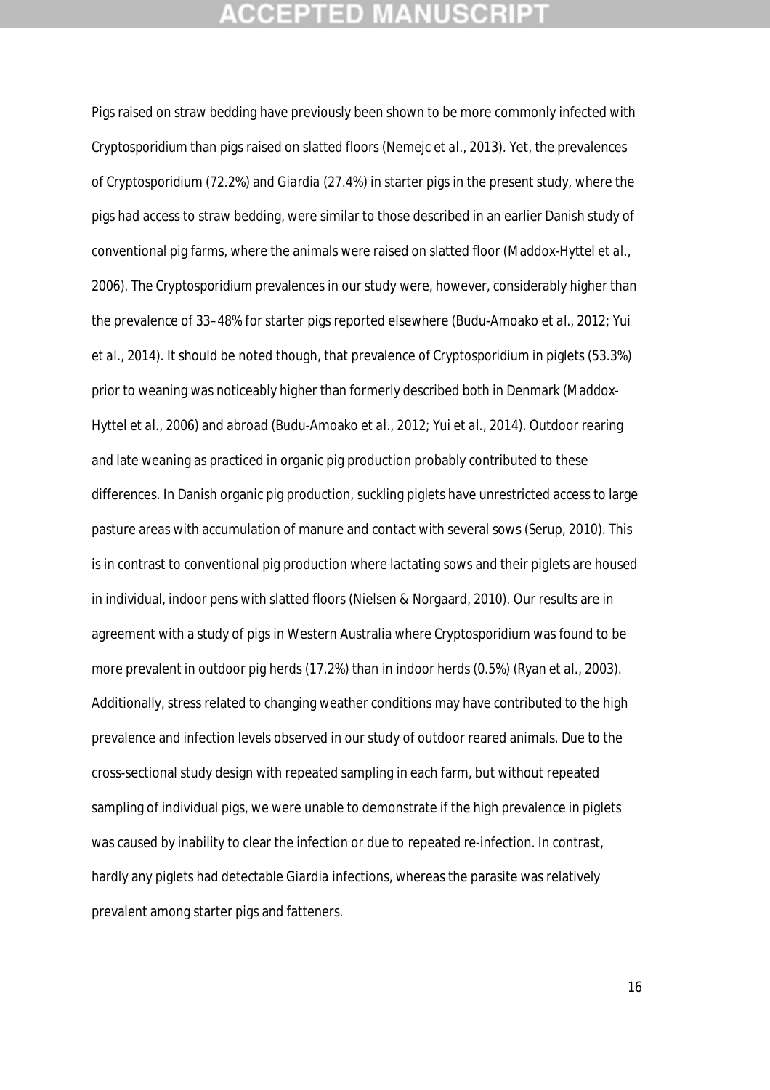## **CEPTED M:**

Pigs raised on straw bedding have previously been shown to be more commonly infected with *Cryptosporidium* than pigs raised on slatted floors (Nemejc *et al*., 2013). Yet, the prevalences of *Cryptosporidium* (72.2%) and *Giardia* (27.4%) in starter pigs in the present study, where the pigs had access to straw bedding, were similar to those described in an earlier Danish study of conventional pig farms, where the animals were raised on slatted floor (Maddox-Hyttel *et al*., 2006). The *Cryptosporidium* prevalences in our study were, however, considerably higher than the prevalence of 33–48% for starter pigs reported elsewhere (Budu-Amoako *et al*., 2012; Yui *et al*., 2014). It should be noted though, that prevalence of *Cryptosporidium* in piglets (53.3%) prior to weaning was noticeably higher than formerly described both in Denmark (Maddox-Hyttel *et al*., 2006) and abroad (Budu-Amoako *et al*., 2012; Yui *et al*., 2014). Outdoor rearing and late weaning as practiced in organic pig production probably contributed to these differences. In Danish organic pig production, suckling piglets have unrestricted access to large pasture areas with accumulation of manure and contact with several sows (Serup, 2010). This is in contrast to conventional pig production where lactating sows and their piglets are housed in individual, indoor pens with slatted floors (Nielsen & Norgaard, 2010). Our results are in agreement with a study of pigs in Western Australia where *Cryptosporidium* was found to be more prevalent in outdoor pig herds (17.2%) than in indoor herds (0.5%) (Ryan *et al*., 2003). Additionally, stress related to changing weather conditions may have contributed to the high prevalence and infection levels observed in our study of outdoor reared animals. Due to the cross-sectional study design with repeated sampling in each farm, but without repeated sampling of individual pigs, we were unable to demonstrate if the high prevalence in piglets was caused by inability to clear the infection or due to repeated re-infection. In contrast, hardly any piglets had detectable *Giardia* infections, whereas the parasite was relatively prevalent among starter pigs and fatteners.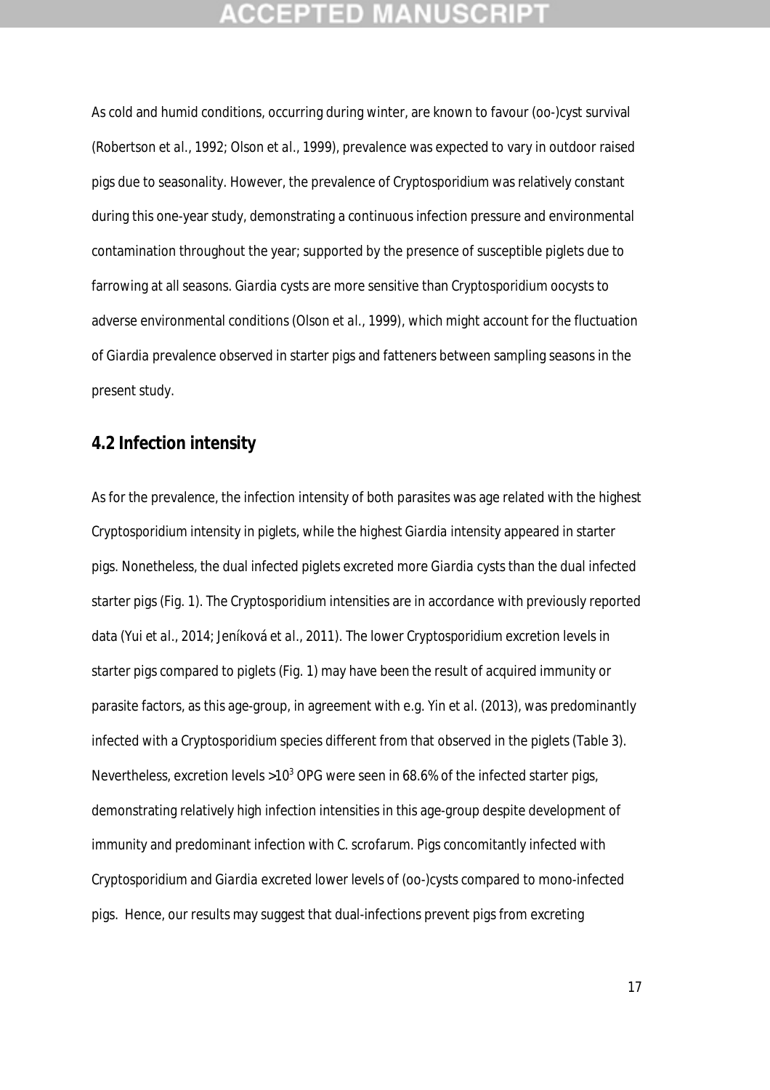## **CCEPTED MANUSCR**

As cold and humid conditions, occurring during winter, are known to favour (oo-)cyst survival (Robertson *et al*., 1992; Olson *et al*., 1999), prevalence was expected to vary in outdoor raised pigs due to seasonality. However, the prevalence of *Cryptosporidium* was relatively constant during this one-year study, demonstrating a continuous infection pressure and environmental contamination throughout the year; supported by the presence of susceptible piglets due to farrowing at all seasons. *Giardia* cysts are more sensitive than *Cryptosporidium* oocysts to adverse environmental conditions (Olson *et al.,* 1999), which might account for the fluctuation of *Giardia* prevalence observed in starter pigs and fatteners between sampling seasons in the present study.

### **4.2 Infection intensity**

As for the prevalence, the infection intensity of both parasites was age related with the highest *Cryptosporidium* intensity in piglets, while the highest *Giardia* intensity appeared in starter pigs. Nonetheless, the dual infected piglets excreted more *Giardia* cysts than the dual infected starter pigs (Fig. 1). The *Cryptosporidium* intensities are in accordance with previously reported data (Yui *et al*., 2014; Jeníková *et al*., 2011). The lower *Cryptosporidium* excretion levels in starter pigs compared to piglets (Fig. 1) may have been the result of acquired immunity or parasite factors, as this age-group, in agreement with e.g. Yin *et al*. (2013), was predominantly infected with a *Cryptosporidium* species different from that observed in the piglets (Table 3). Nevertheless, excretion levels >10<sup>3</sup> OPG were seen in 68.6% of the infected starter pigs, demonstrating relatively high infection intensities in this age-group despite development of immunity and predominant infection with *C. scrofarum*. Pigs concomitantly infected with *Cryptosporidium* and *Giardia* excreted lower levels of (oo-)cysts compared to mono-infected pigs. Hence, our results may suggest that dual-infections prevent pigs from excreting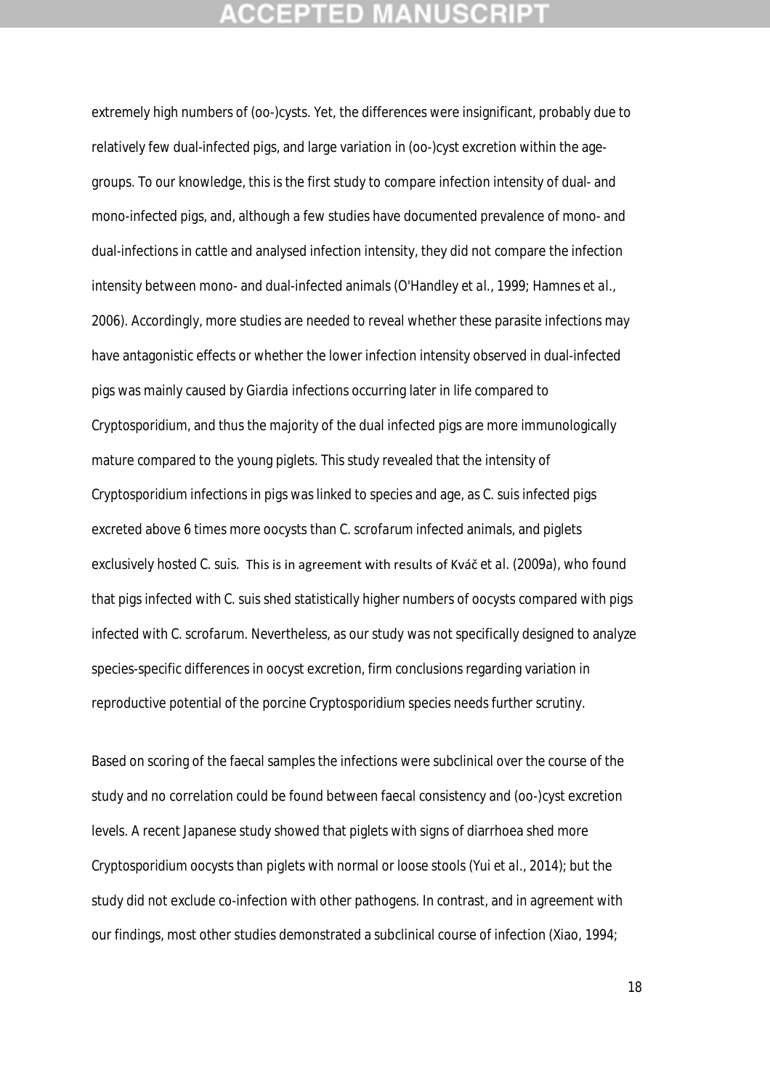## **CEPTED MAN**

extremely high numbers of (oo-)cysts. Yet, the differences were insignificant, probably due to relatively few dual-infected pigs, and large variation in (oo-)cyst excretion within the agegroups. To our knowledge, this is the first study to compare infection intensity of dual- and mono-infected pigs, and, although a few studies have documented prevalence of mono- and dual-infections in cattle and analysed infection intensity, they did not compare the infection intensity between mono- and dual-infected animals (O'Handley *et al*., 1999; Hamnes *et al*., 2006). Accordingly, more studies are needed to reveal whether these parasite infections may have antagonistic effects or whether the lower infection intensity observed in dual-infected pigs was mainly caused by *Giardia* infections occurring later in life compared to *Cryptosporidium*, and thus the majority of the dual infected pigs are more immunologically mature compared to the young piglets. This study revealed that the intensity of *Cryptosporidium* infections in pigs was linked to species and age, as *C. suis* infected pigs excreted above 6 times more oocysts than *C. scrofarum* infected animals, and piglets exclusively hosted *C. suis*. This is in agreement with results of Kváč *et al*. (2009a), who found that pigs infected with *C. suis* shed statistically higher numbers of oocysts compared with pigs infected with *C. scrofarum*. Nevertheless, as our study was not specifically designed to analyze species-specific differences in oocyst excretion, firm conclusions regarding variation in reproductive potential of the porcine *Cryptosporidium* species needs further scrutiny.

Based on scoring of the faecal samples the infections were subclinical over the course of the study and no correlation could be found between faecal consistency and (oo-)cyst excretion levels. A recent Japanese study showed that piglets with signs of diarrhoea shed more *Cryptosporidium* oocysts than piglets with normal or loose stools (Yui *et al*., 2014); but the study did not exclude co-infection with other pathogens. In contrast, and in agreement with our findings, most other studies demonstrated a subclinical course of infection (Xiao, 1994;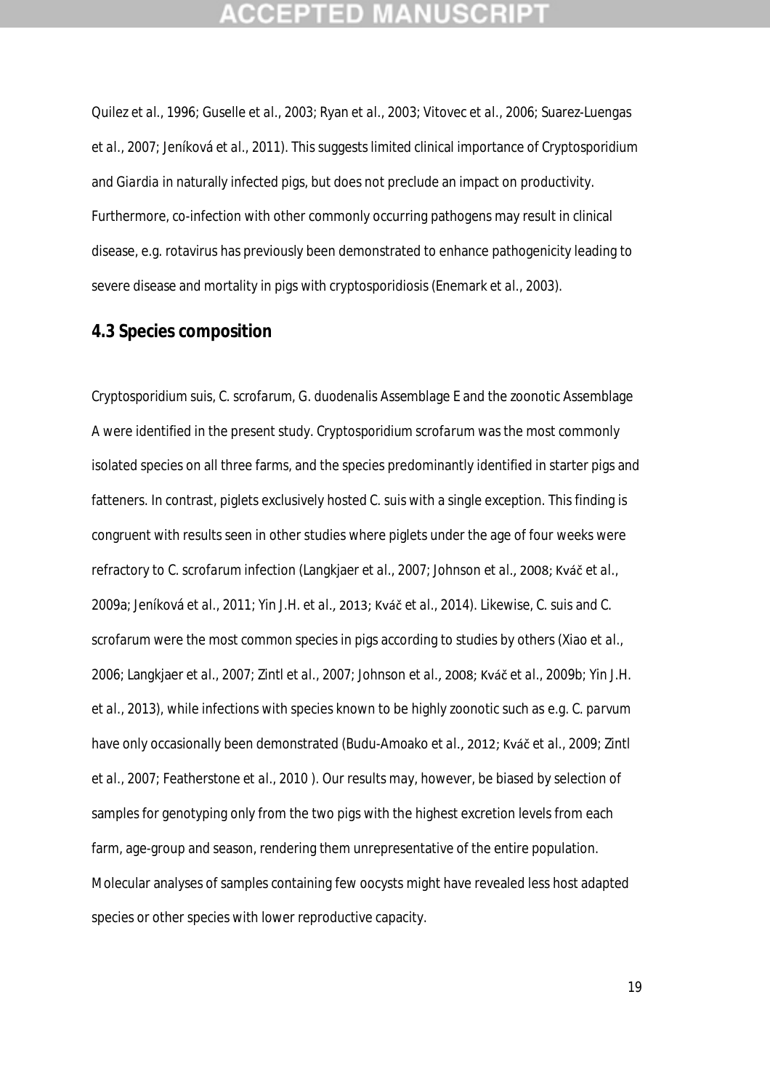## **CEPTED**

Quilez *et al*., 1996; Guselle *et al*., 2003; Ryan *et al*., 2003; Vitovec *et al*., 2006; Suarez-Luengas *et al*., 2007; Jeníková *et al*., 2011). This suggests limited clinical importance of *Cryptosporidium* and *Giardia* in naturally infected pigs, but does not preclude an impact on productivity. Furthermore, co-infection with other commonly occurring pathogens may result in clinical disease, e.g. rotavirus has previously been demonstrated to enhance pathogenicity leading to severe disease and mortality in pigs with cryptosporidiosis (Enemark *et al*., 2003).

### **4.3 Species composition**

*Cryptosporidium suis, C. scrofarum*, *G. duodenalis* Assemblage E and the zoonotic Assemblage A were identified in the present study. *Cryptosporidium scrofarum* was the most commonly isolated species on all three farms, and the species predominantly identified in starter pigs and fatteners. In contrast, piglets exclusively hosted *C. suis* with a single exception. This finding is congruent with results seen in other studies where piglets under the age of four weeks were refractory to *C. scrofarum* infection (Langkjaer *et al*., 2007; Johnson *et al*., 2008; Kváč *et al*., 2009a; Jeníková *et al*., 2011; Yin J.H. *et al*., 2013; Kváč *et al*., 2014). Likewise, *C. suis* and *C. scrofarum* were the most common species in pigs according to studies by others (Xiao *et al*., 2006; Langkjaer *et al*., 2007; Zintl *et al*., 2007; Johnson *et al*., 2008; Kváč *et al*., 2009b; Yin J.H. *et al*., 2013), while infections with species known to be highly zoonotic such as e.g. *C. parvum* have only occasionally been demonstrated (Budu-Amoako *et al*., 2012; Kváč *et al*., 2009; Zintl *et al*., 2007; Featherstone *et al*., 2010 ). Our results may, however, be biased by selection of samples for genotyping only from the two pigs with the highest excretion levels from each farm, age-group and season, rendering them unrepresentative of the entire population. Molecular analyses of samples containing few oocysts might have revealed less host adapted species or other species with lower reproductive capacity.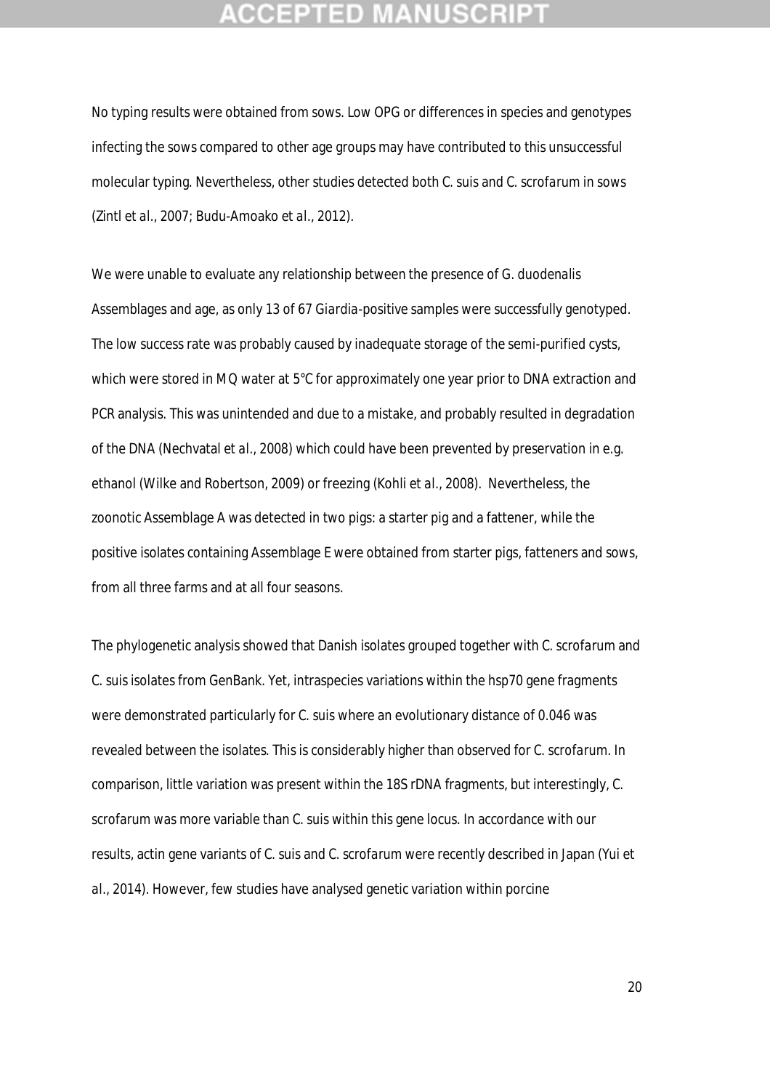## :CEPTED M

No typing results were obtained from sows. Low OPG or differences in species and genotypes infecting the sows compared to other age groups may have contributed to this unsuccessful molecular typing. Nevertheless, other studies detected both *C. suis* and *C. scrofarum* in sows (Zintl *et al*., 2007; Budu-Amoako *et al*., 2012).

We were unable to evaluate any relationship between the presence of *G. duodenalis*  Assemblages and age, as only 13 of 67 *Giardia*-positive samples were successfully genotyped. The low success rate was probably caused by inadequate storage of the semi-purified cysts, which were stored in MQ water at 5°C for approximately one year prior to DNA extraction and PCR analysis. This was unintended and due to a mistake, and probably resulted in degradation of the DNA (Nechvatal *et al*., 2008) which could have been prevented by preservation in e.g. ethanol (Wilke and Robertson, 2009) or freezing (Kohli *et al*., 2008). Nevertheless, the zoonotic Assemblage A was detected in two pigs: a starter pig and a fattener, while the positive isolates containing Assemblage E were obtained from starter pigs, fatteners and sows, from all three farms and at all four seasons.

The phylogenetic analysis showed that Danish isolates grouped together with *C. scrofarum* and *C. suis* isolates from GenBank. Yet, intraspecies variations within the *hsp70* gene fragments were demonstrated particularly for *C. suis* where an evolutionary distance of 0.046 was revealed between the isolates. This is considerably higher than observed for *C. scrofarum*. In comparison, little variation was present within the 18S rDNA fragments, but interestingly, *C. scrofarum* was more variable than *C. suis* within this gene locus. In accordance with our results, actin gene variants of *C. suis* and *C. scrofarum* were recently described in Japan (Yui *et al*., 2014). However, few studies have analysed genetic variation within porcine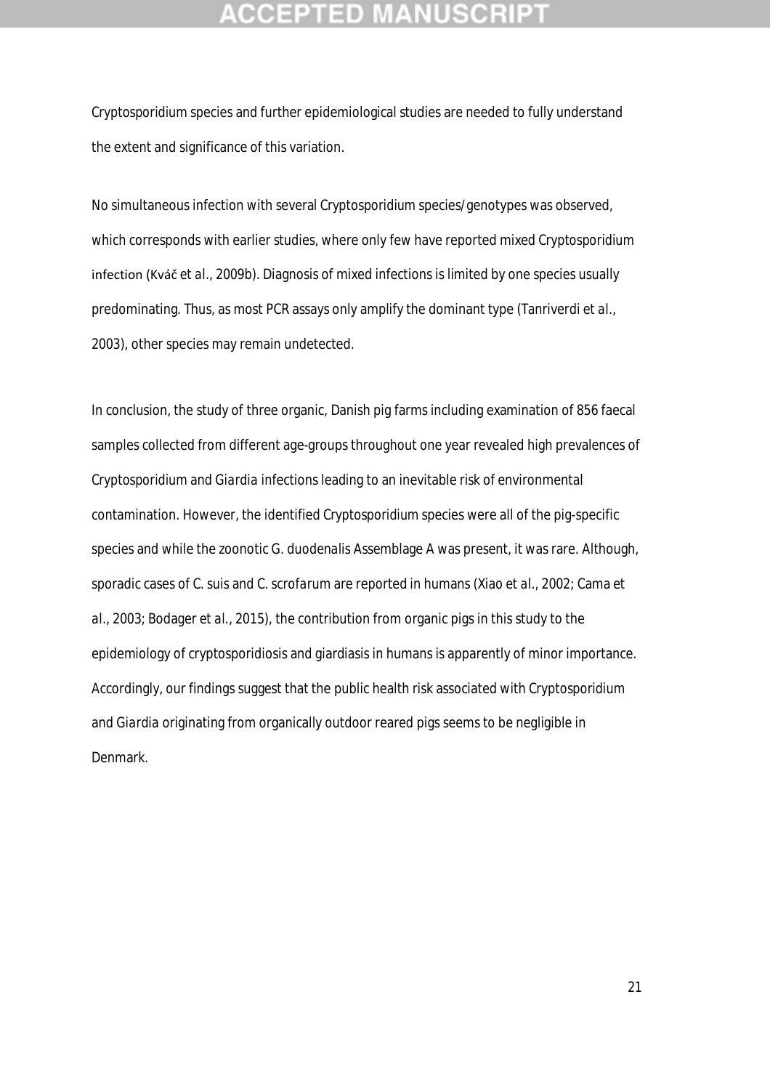*Cryptosporidium* species and further epidemiological studies are needed to fully understand the extent and significance of this variation.

No simultaneous infection with several *Cryptosporidium* species/genotypes was observed, which corresponds with earlier studies, where only few have reported mixed *Cryptosporidium* infection (Kváč *et al*., 2009b). Diagnosis of mixed infections is limited by one species usually predominating. Thus, as most PCR assays only amplify the dominant type (Tanriverdi *et al*., 2003), other species may remain undetected.

In conclusion, the study of three organic, Danish pig farms including examination of 856 faecal samples collected from different age-groups throughout one year revealed high prevalences of *Cryptosporidium* and *Giardia* infections leading to an inevitable risk of environmental contamination. However, the identified *Cryptosporidium* species were all of the pig-specific species and while the zoonotic *G. duodenalis* Assemblage A was present, it was rare. Although, sporadic cases of *C. suis* and *C. scrofarum* are reported in humans (Xiao *et al*., 2002; Cama *et al*., 2003; Bodager *et al.*, 2015), the contribution from organic pigs in this study to the epidemiology of cryptosporidiosis and giardiasis in humans is apparently of minor importance. Accordingly, our findings suggest that the public health risk associated with *Cryptosporidium* and *Giardia* originating from organically outdoor reared pigs seems to be negligible in Denmark.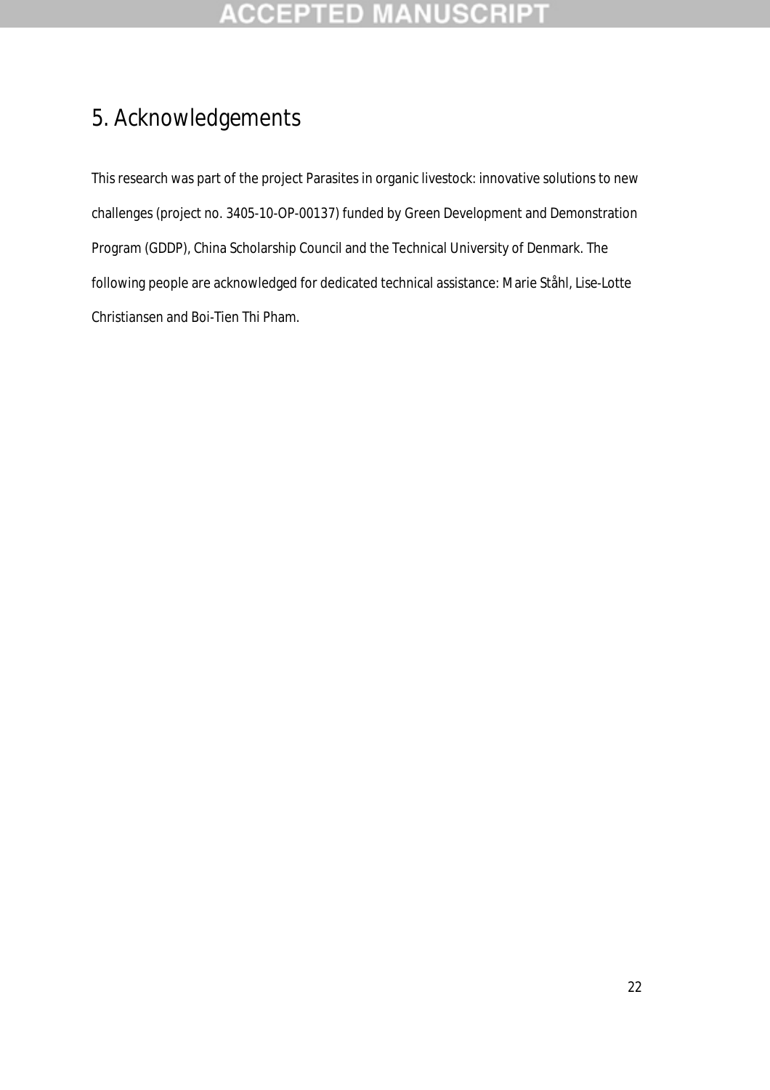# 5. Acknowledgements

This research was part of the project Parasites in organic livestock: innovative solutions to new challenges (project no. 3405-10-OP-00137) funded by Green Development and Demonstration Program (GDDP), China Scholarship Council and the Technical University of Denmark. The following people are acknowledged for dedicated technical assistance: Marie Ståhl, Lise-Lotte Christiansen and Boi-Tien Thi Pham.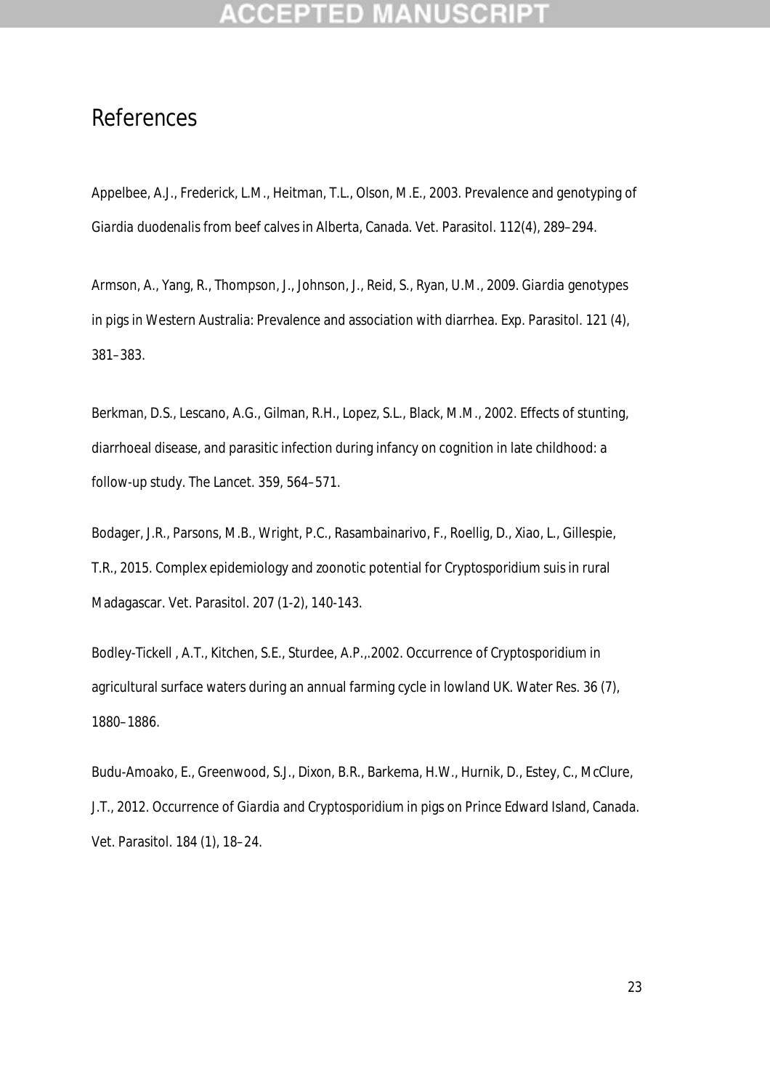## References

Appelbee, A.J., Frederick, L.M., Heitman, T.L., Olson, M.E., 2003. Prevalence and genotyping of *Giardia duodenalis* from beef calves in Alberta, Canada. Vet. Parasitol. 112(4), 289–294.

Armson, A., Yang, R., Thompson, J., Johnson, J., Reid, S., Ryan, U.M., 2009. *Giardia* genotypes in pigs in Western Australia: Prevalence and association with diarrhea. Exp. Parasitol. 121 (4), 381–383.

Berkman, D.S., Lescano, A.G., Gilman, R.H., Lopez, S.L., Black, M.M., 2002. Effects of stunting, diarrhoeal disease, and parasitic infection during infancy on cognition in late childhood: a follow-up study. The Lancet. 359, 564–571.

Bodager, J.R., Parsons, M.B., Wright, P.C., Rasambainarivo, F., Roellig, D., Xiao, L., Gillespie, T.R., 2015. Complex epidemiology and zoonotic potential for *Cryptosporidium suis* in rural Madagascar. Vet. Parasitol. 207 (1-2), 140-143.

Bodley-Tickell , A.T., Kitchen, S.E., Sturdee, A.P.,.2002. Occurrence of *Cryptosporidium* in agricultural surface waters during an annual farming cycle in lowland UK. Water Res. 36 (7), 1880–1886.

Budu-Amoako, E., Greenwood, S.J., Dixon, B.R., Barkema, H.W., Hurnik, D., Estey, C., McClure, J.T., 2012. Occurrence of *Giardia* and *Cryptosporidium* in pigs on Prince Edward Island, Canada. Vet. Parasitol. 184 (1), 18–24.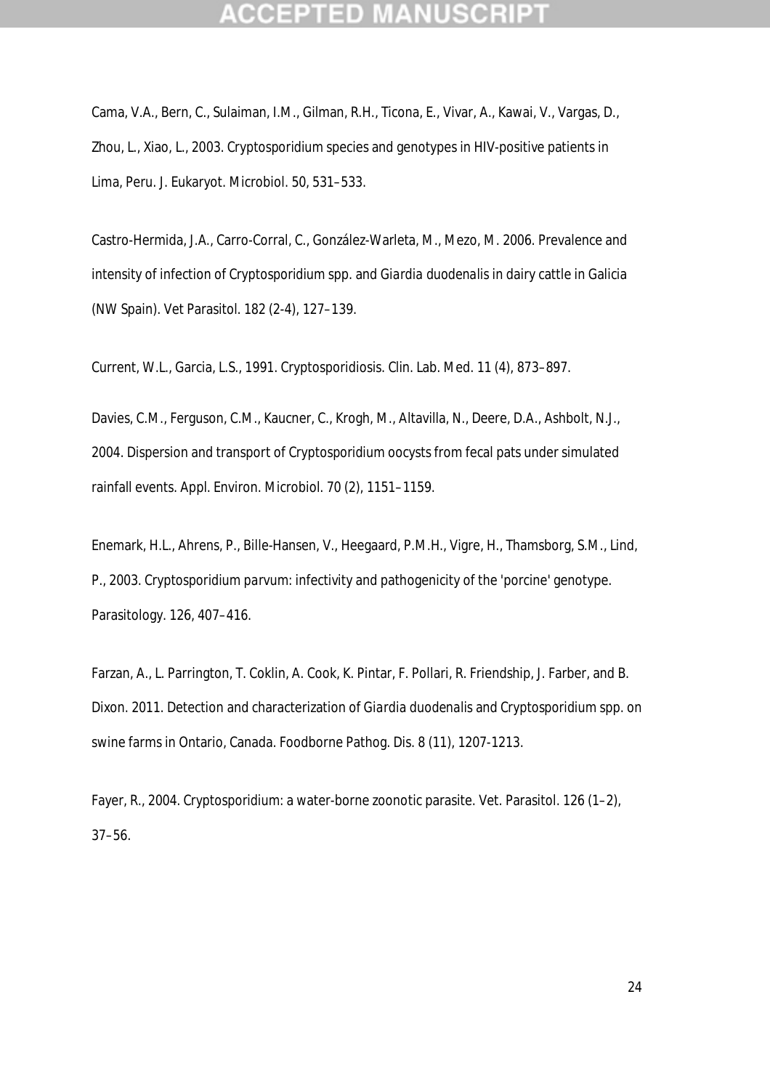Cama, V.A., Bern, C., Sulaiman, I.M., Gilman, R.H., Ticona, E., Vivar, A., Kawai, V., Vargas, D., Zhou, L., Xiao, L., 2003. *Cryptosporidium* species and genotypes in HIV-positive patients in Lima, Peru. J. Eukaryot. Microbiol. 50, 531–533.

Castro-Hermida, J.A., Carro-Corral, C., González-Warleta, M., Mezo, M. 2006. Prevalence and intensity of infection of *Cryptosporidium* spp. and *Giardia duodenalis* in dairy cattle in Galicia (NW Spain). Vet Parasitol. 182 (2-4), 127–139.

Current, W.L., Garcia, L.S., 1991. Cryptosporidiosis. Clin. Lab. Med. 11 (4), 873–897.

Davies, C.M., Ferguson, C.M., Kaucner, C., Krogh, M., Altavilla, N., Deere, D.A., Ashbolt, N.J., 2004. Dispersion and transport of *Cryptosporidium* oocysts from fecal pats under simulated rainfall events. Appl. Environ. Microbiol. 70 (2), 1151–1159.

Enemark, H.L., Ahrens, P., Bille-Hansen, V., Heegaard, P.M.H., Vigre, H., Thamsborg, S.M., Lind, P., 2003. *Cryptosporidium parvum*: infectivity and pathogenicity of the 'porcine' genotype. Parasitology. 126, 407–416.

Farzan, A., L. Parrington, T. Coklin, A. Cook, K. Pintar, F. Pollari, R. Friendship, J. Farber, and B. Dixon. 2011. Detection and characterization of *Giardia duodenalis* and *Cryptosporidium* spp. on swine farms in Ontario, Canada. Foodborne Pathog. Dis. 8 (11), 1207-1213.

Fayer, R., 2004. *Cryptosporidium*: a water-borne zoonotic parasite. Vet. Parasitol. 126 (1–2), 37–56.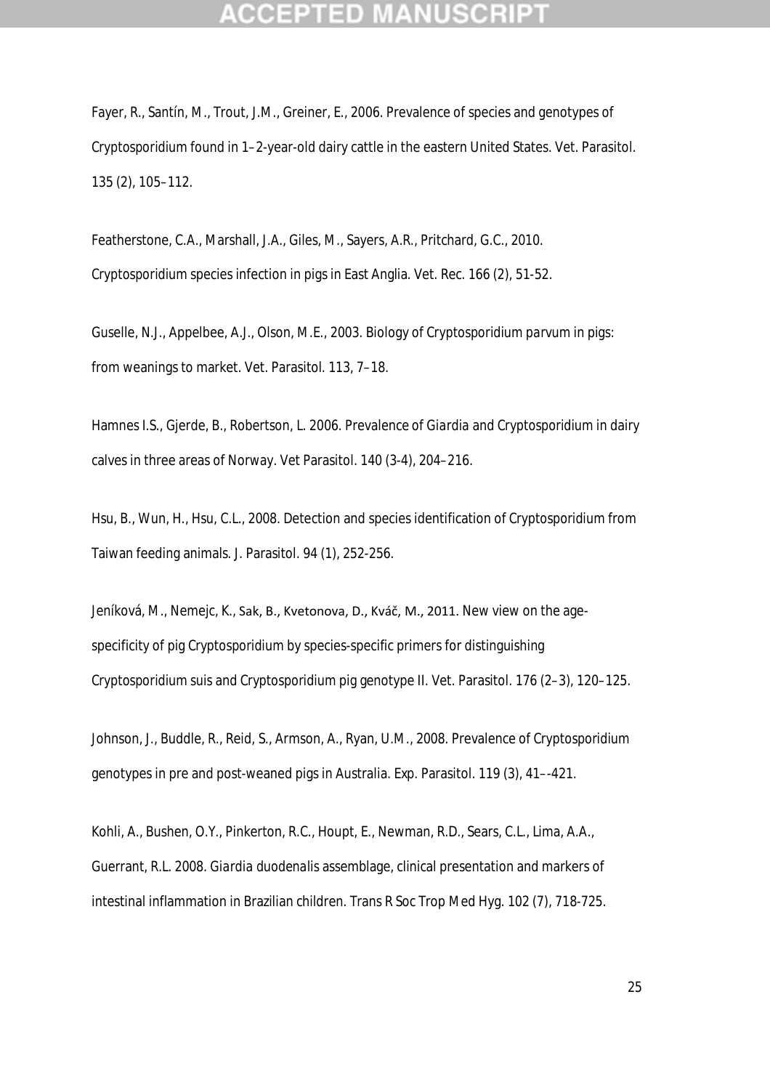Fayer, R., Santín, M., Trout, J.M., Greiner, E., 2006. Prevalence of species and genotypes of *Cryptosporidium* found in 1–2-year-old dairy cattle in the eastern United States. Vet. Parasitol. 135 (2), 105–112.

Featherstone, C.A., Marshall, J.A., Giles, M., Sayers, A.R., Pritchard, G.C., 2010. *Cryptosporidium* species infection in pigs in East Anglia. Vet. Rec. 166 (2), 51-52.

Guselle, N.J., Appelbee, A.J., Olson, M.E., 2003. Biology of *Cryptosporidium parvum* in pigs: from weanings to market. Vet. Parasitol. 113, 7–18.

Hamnes I.S., Gjerde, B., Robertson, L. 2006. Prevalence of *Giardia* and *Cryptosporidium* in dairy calves in three areas of Norway. Vet Parasitol. 140 (3-4), 204–216.

Hsu, B., Wun, H., Hsu, C.L., 2008. Detection and species identification of *Cryptosporidium* from Taiwan feeding animals. J. Parasitol. 94 (1), 252-256.

Jeníková, M., Nemejc, K., Sak, B., Kvetonova, D., Kváč, M., 2011. New view on the agespecificity of pig *Cryptosporidium* by species-specific primers for distinguishing *Cryptosporidium suis* and *Cryptosporidium* pig genotype II. Vet. Parasitol. 176 (2–3), 120–125.

Johnson, J., Buddle, R., Reid, S., Armson, A., Ryan, U.M., 2008. Prevalence of *Cryptosporidium* genotypes in pre and post-weaned pigs in Australia. Exp. Parasitol. 119 (3), 41–-421.

Kohli, A., Bushen, O.Y., Pinkerton, R.C., Houpt, E., Newman, R.D., Sears, C.L., Lima, A.A., Guerrant, R.L. 2008. *Giardia duodenalis* assemblage, clinical presentation and markers of intestinal inflammation in Brazilian children. Trans R Soc Trop Med Hyg. 102 (7), 718-725.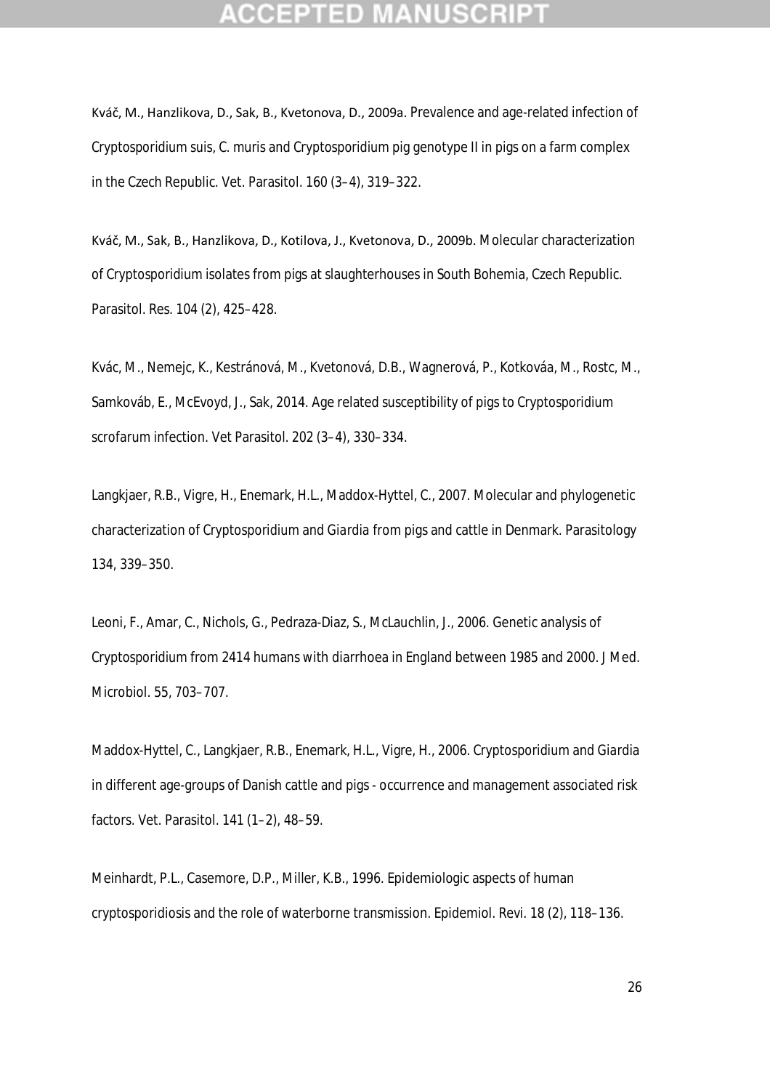Kváč, M., Hanzlikova, D., Sak, B., Kvetonova, D., 2009a. Prevalence and age-related infection of *Cryptosporidium suis*, *C. muris* and *Cryptosporidium* pig genotype II in pigs on a farm complex in the Czech Republic. Vet. Parasitol. 160 (3–4), 319–322.

Kváč, M., Sak, B., Hanzlikova, D., Kotilova, J., Kvetonova, D., 2009b. Molecular characterization of *Cryptosporidium* isolates from pigs at slaughterhouses in South Bohemia, Czech Republic. Parasitol. Res. 104 (2), 425–428.

Kvác, M., Nemejc, K., Kestránová, M., Kvetonová, D.B., Wagnerová, P., Kotkováa, M., Rostc, M., Samkováb, E., McEvoyd, J., Sak, 2014. Age related susceptibility of pigs to *Cryptosporidium scrofarum* infection. Vet Parasitol. 202 (3–4), 330–334.

Langkjaer, R.B., Vigre, H., Enemark, H.L., Maddox-Hyttel, C., 2007. Molecular and phylogenetic characterization of *Cryptosporidium* and *Giardia* from pigs and cattle in Denmark. Parasitology 134, 339–350.

Leoni, F., Amar, C., Nichols, G., Pedraza-Diaz, S., McLauchlin, J., 2006. Genetic analysis of *Cryptosporidium* from 2414 humans with diarrhoea in England between 1985 and 2000. J Med. Microbiol. 55, 703–707.

Maddox-Hyttel, C., Langkjaer, R.B., Enemark, H.L., Vigre, H., 2006. *Cryptosporidium* and *Giardia* in different age-groups of Danish cattle and pigs - occurrence and management associated risk factors. Vet. Parasitol. 141 (1–2), 48–59.

Meinhardt, P.L., Casemore, D.P., Miller, K.B., 1996. Epidemiologic aspects of human cryptosporidiosis and the role of waterborne transmission. Epidemiol. Revi. 18 (2), 118–136.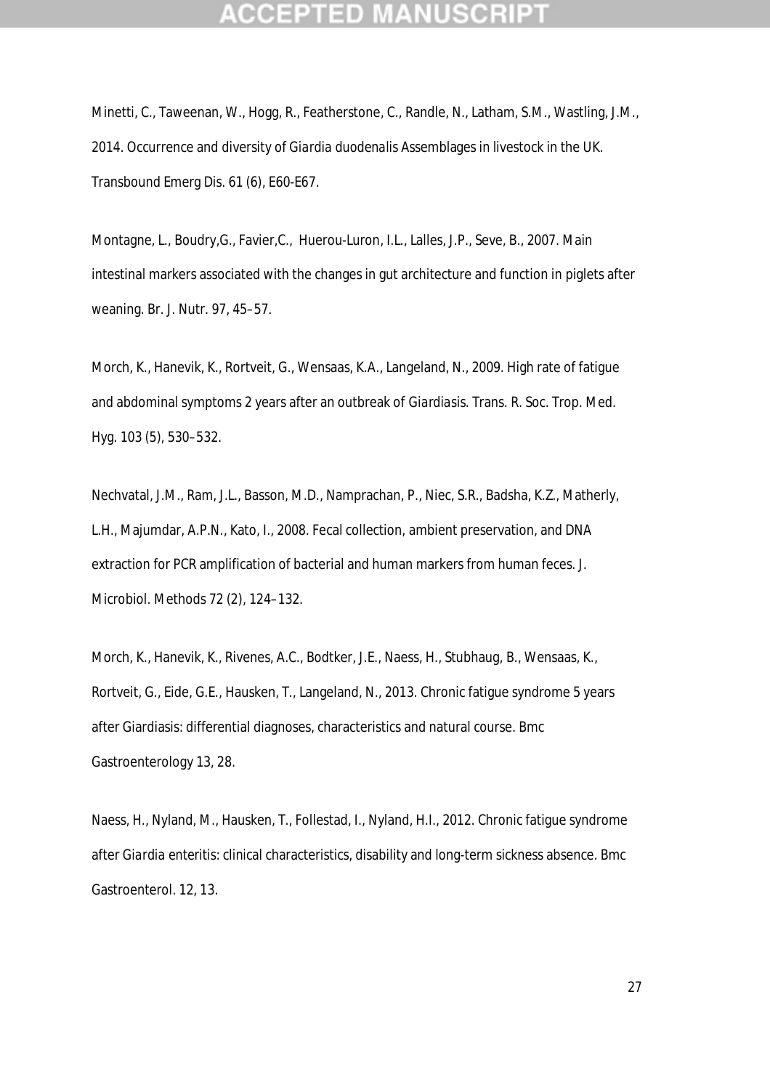Minetti, C., Taweenan, W., Hogg, R., Featherstone, C., Randle, N., Latham, S.M., Wastling, J.M., 2014. Occurrence and diversity of *Giardia duodenalis* Assemblages in livestock in the UK. Transbound Emerg Dis. 61 (6), E60-E67.

Montagne, L., Boudry,G., Favier,C., Huerou-Luron, I.L., Lalles, J.P., Seve, B., 2007. Main intestinal markers associated with the changes in gut architecture and function in piglets after weaning. Br. J. Nutr. 97, 45–57.

Morch, K., Hanevik, K., Rortveit, G., Wensaas, K.A., Langeland, N., 2009. High rate of fatigue and abdominal symptoms 2 years after an outbreak of *Giardiasis*. Trans. R. Soc. Trop. Med. Hyg. 103 (5), 530–532.

Nechvatal, J.M., Ram, J.L., Basson, M.D., Namprachan, P., Niec, S.R., Badsha, K.Z., Matherly, L.H., Majumdar, A.P.N., Kato, I., 2008. Fecal collection, ambient preservation, and DNA extraction for PCR amplification of bacterial and human markers from human feces. J. Microbiol. Methods 72 (2), 124–132.

Morch, K., Hanevik, K., Rivenes, A.C., Bodtker, J.E., Naess, H., Stubhaug, B., Wensaas, K., Rortveit, G., Eide, G.E., Hausken, T., Langeland, N., 2013. Chronic fatigue syndrome 5 years after Giardiasis: differential diagnoses, characteristics and natural course. Bmc Gastroenterology 13, 28.

Naess, H., Nyland, M., Hausken, T., Follestad, I., Nyland, H.I., 2012. Chronic fatigue syndrome after *Giardia enteritis*: clinical characteristics, disability and long-term sickness absence. Bmc Gastroenterol. 12, 13.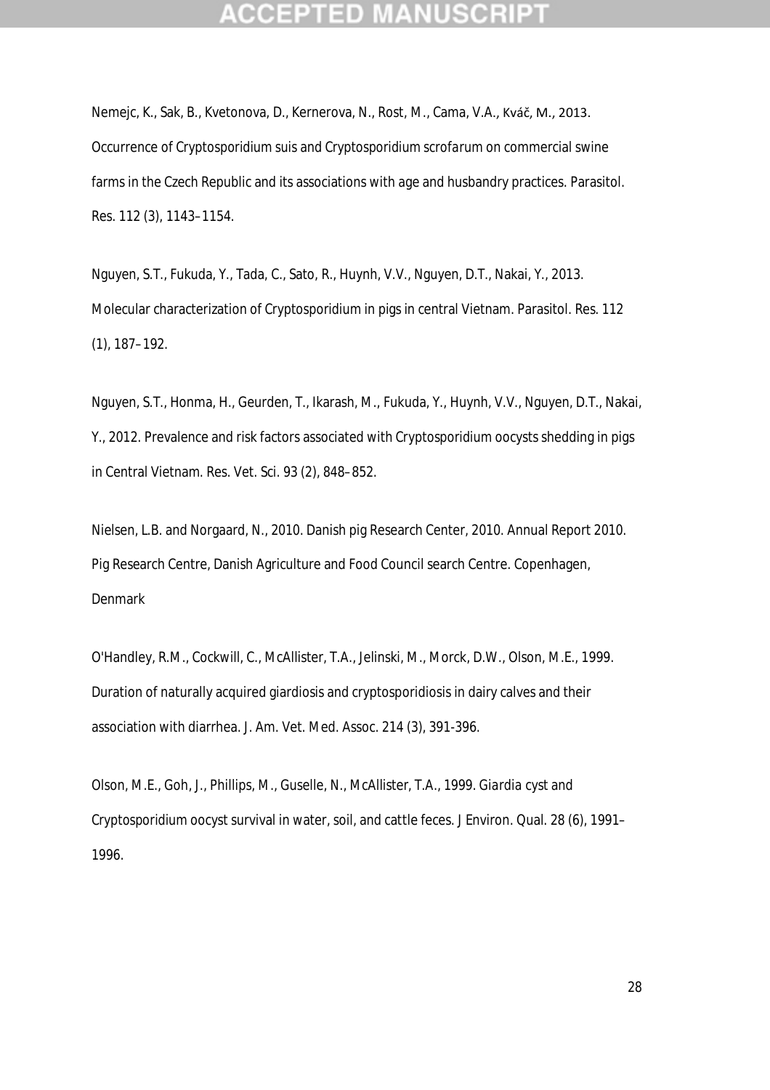Nemejc, K., Sak, B., Kvetonova, D., Kernerova, N., Rost, M., Cama, V.A., Kváč, M., 2013. Occurrence of *Cryptosporidium suis* and *Cryptosporidium scrofarum* on commercial swine farms in the Czech Republic and its associations with age and husbandry practices. Parasitol. Res. 112 (3), 1143–1154.

Nguyen, S.T., Fukuda, Y., Tada, C., Sato, R., Huynh, V.V., Nguyen, D.T., Nakai, Y., 2013. Molecular characterization of *Cryptosporidium* in pigs in central Vietnam. Parasitol. Res. 112 (1), 187–192.

Nguyen, S.T., Honma, H., Geurden, T., Ikarash, M., Fukuda, Y., Huynh, V.V., Nguyen, D.T., Nakai, Y., 2012. Prevalence and risk factors associated with *Cryptosporidium* oocysts shedding in pigs in Central Vietnam. Res. Vet. Sci. 93 (2), 848–852.

Nielsen, L.B. and Norgaard, N., 2010. Danish pig Research Center, 2010. Annual Report 2010. Pig Research Centre, Danish Agriculture and Food Council search Centre. Copenhagen, Denmark

O'Handley, R.M., Cockwill, C., McAllister, T.A., Jelinski, M., Morck, D.W., Olson, M.E., 1999. Duration of naturally acquired giardiosis and cryptosporidiosis in dairy calves and their association with diarrhea. J. Am. Vet. Med. Assoc. 214 (3), 391-396.

Olson, M.E., Goh, J., Phillips, M., Guselle, N., McAllister, T.A., 1999. *Giardia* cyst and *Cryptosporidium* oocyst survival in water, soil, and cattle feces. J Environ. Qual. 28 (6), 1991– 1996.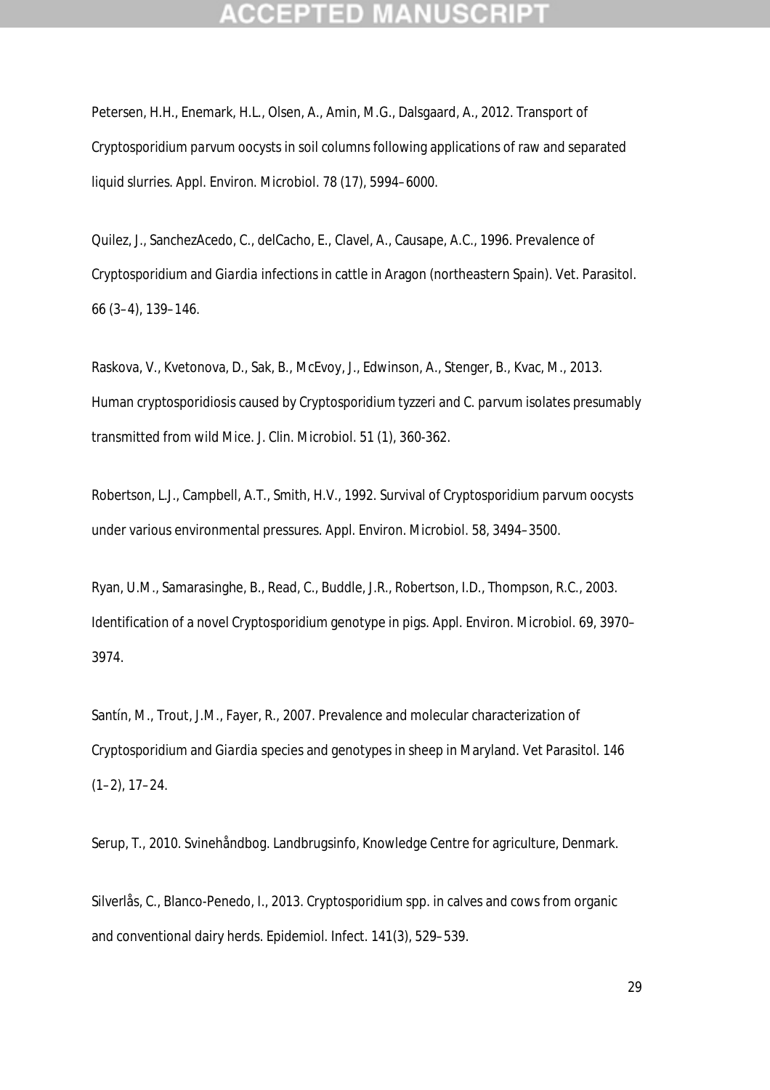Petersen, H.H., Enemark, H.L., Olsen, A., Amin, M.G., Dalsgaard, A., 2012. Transport of *Cryptosporidium parvum* oocysts in soil columns following applications of raw and separated liquid slurries. Appl. Environ. Microbiol. 78 (17), 5994–6000.

Quilez, J., SanchezAcedo, C., delCacho, E., Clavel, A., Causape, A.C., 1996. Prevalence of *Cryptosporidium* and *Giardia* infections in cattle in Aragon (northeastern Spain). Vet. Parasitol. 66 (3–4), 139–146.

Raskova, V., Kvetonova, D., Sak, B., McEvoy, J., Edwinson, A., Stenger, B., Kvac, M., 2013. Human cryptosporidiosis caused by *Cryptosporidium tyzzeri* and *C. parvum* isolates presumably transmitted from wild Mice. J. Clin. Microbiol. 51 (1), 360-362.

Robertson, L.J., Campbell, A.T., Smith, H.V., 1992. Survival of *Cryptosporidium parvum* oocysts under various environmental pressures. Appl. Environ. Microbiol. 58, 3494–3500.

Ryan, U.M., Samarasinghe, B., Read, C., Buddle, J.R., Robertson, I.D., Thompson, R.C., 2003. Identification of a novel *Cryptosporidium* genotype in pigs. Appl. Environ. Microbiol. 69, 3970– 3974.

Santín, M., Trout, J.M., Fayer, R., 2007. Prevalence and molecular characterization of *Cryptosporidium* and *Giardia* species and genotypes in sheep in Maryland. Vet Parasitol. 146  $(1-2)$ ,  $17-24$ .

Serup, T., 2010. Svinehåndbog. Landbrugsinfo, Knowledge Centre for agriculture, Denmark.

Silverlås, C., Blanco-Penedo, I., 2013. *Cryptosporidium* spp. in calves and cows from organic and conventional dairy herds. Epidemiol. Infect. 141(3), 529–539.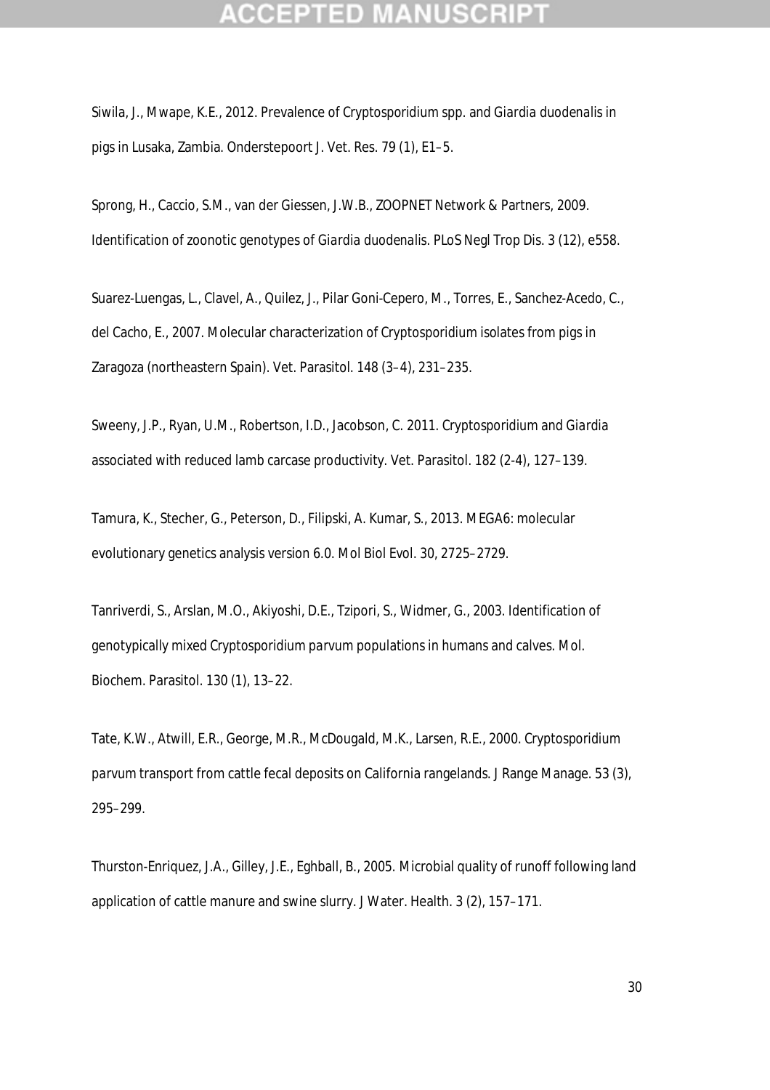Siwila, J., Mwape, K.E., 2012. Prevalence of *Cryptosporidium* spp. and *Giardia duodenalis* in pigs in Lusaka, Zambia. Onderstepoort J. Vet. Res. 79 (1), E1–5.

Sprong, H., Caccio, S.M., van der Giessen, J.W.B., ZOOPNET Network & Partners, 2009. Identification of zoonotic genotypes of *Giardia duodenalis*. PLoS Negl Trop Dis. 3 (12), e558.

Suarez-Luengas, L., Clavel, A., Quilez, J., Pilar Goni-Cepero, M., Torres, E., Sanchez-Acedo, C., del Cacho, E., 2007. Molecular characterization of *Cryptosporidium* isolates from pigs in Zaragoza (northeastern Spain). Vet. Parasitol. 148 (3–4), 231–235.

Sweeny, J.P., Ryan, U.M., Robertson, I.D., Jacobson, C. 2011. *Cryptosporidium* and *Giardia* associated with reduced lamb carcase productivity. Vet. Parasitol. 182 (2-4), 127–139.

Tamura, K., Stecher, G., Peterson, D., Filipski, A. Kumar, S., 2013. MEGA6: molecular evolutionary genetics analysis version 6.0. Mol Biol Evol. 30, 2725–2729.

Tanriverdi, S., Arslan, M.O., Akiyoshi, D.E., Tzipori, S., Widmer, G., 2003. Identification of genotypically mixed *Cryptosporidium parvum* populations in humans and calves. Mol. Biochem. Parasitol. 130 (1), 13–22.

Tate, K.W., Atwill, E.R., George, M.R., McDougald, M.K., Larsen, R.E., 2000. *Cryptosporidium parvum* transport from cattle fecal deposits on California rangelands. J Range Manage. 53 (3), 295–299.

Thurston-Enriquez, J.A., Gilley, J.E., Eghball, B., 2005. Microbial quality of runoff following land application of cattle manure and swine slurry. J Water. Health. 3 (2), 157–171.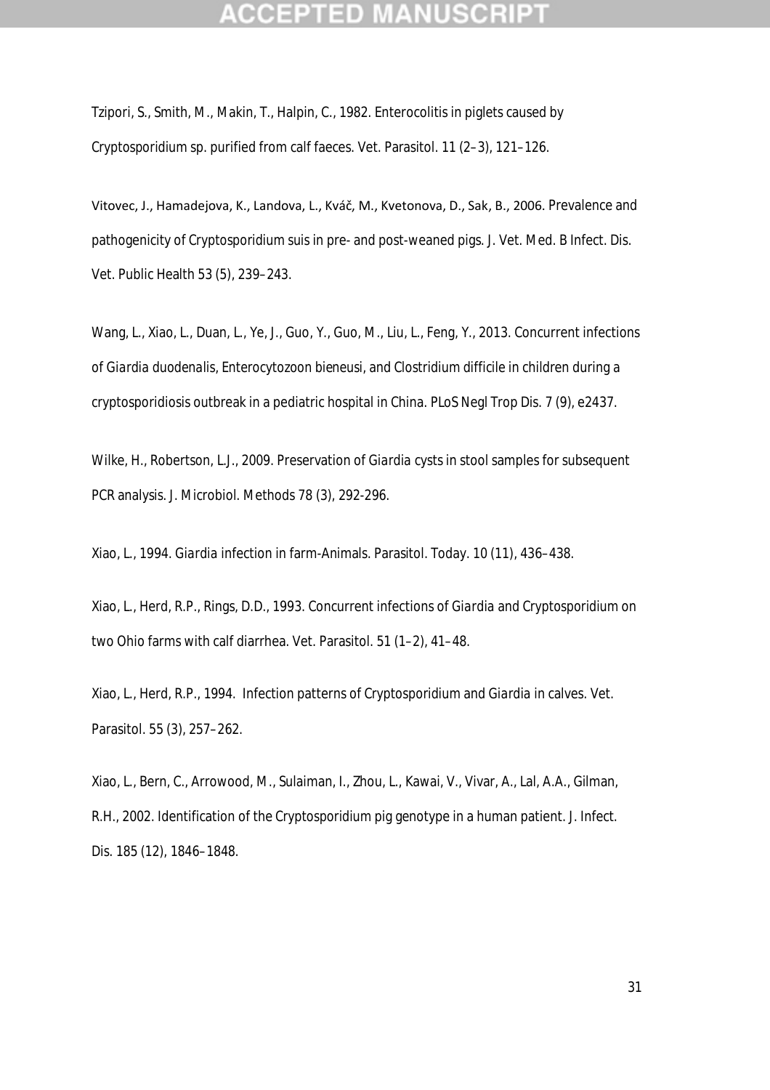Tzipori, S., Smith, M., Makin, T., Halpin, C., 1982. Enterocolitis in piglets caused by *Cryptosporidium* sp. purified from calf faeces. Vet. Parasitol. 11 (2–3), 121–126.

Vitovec, J., Hamadejova, K., Landova, L., Kváč, M., Kvetonova, D., Sak, B., 2006. Prevalence and pathogenicity of *Cryptosporidium suis* in pre- and post-weaned pigs. J. Vet. Med. B Infect. Dis. Vet. Public Health 53 (5), 239–243.

Wang, L., Xiao, L., Duan, L., Ye, J., Guo, Y., Guo, M., Liu, L., Feng, Y., 2013. Concurrent infections of *Giardia duodenalis*, *Enterocytozoon bieneusi*, and *Clostridium difficile* in children during a cryptosporidiosis outbreak in a pediatric hospital in China. PLoS Negl Trop Dis. 7 (9), e2437.

Wilke, H., Robertson, L.J., 2009. Preservation of *Giardia* cysts in stool samples for subsequent PCR analysis. J. Microbiol. Methods 78 (3), 292-296.

Xiao, L., 1994. *Giardia* infection in farm-Animals. Parasitol. Today. 10 (11), 436–438.

Xiao, L., Herd, R.P., Rings, D.D., 1993. Concurrent infections of *Giardia* and *Cryptosporidium* on two Ohio farms with calf diarrhea. Vet. Parasitol. 51 (1–2), 41–48.

Xiao, L., Herd, R.P., 1994. Infection patterns of *Cryptosporidium* and *Giardia* in calves. Vet. Parasitol. 55 (3), 257–262.

Xiao, L., Bern, C., Arrowood, M., Sulaiman, I., Zhou, L., Kawai, V., Vivar, A., Lal, A.A., Gilman, R.H., 2002. Identification of the *Cryptosporidium* pig genotype in a human patient. J. Infect. Dis. 185 (12), 1846–1848.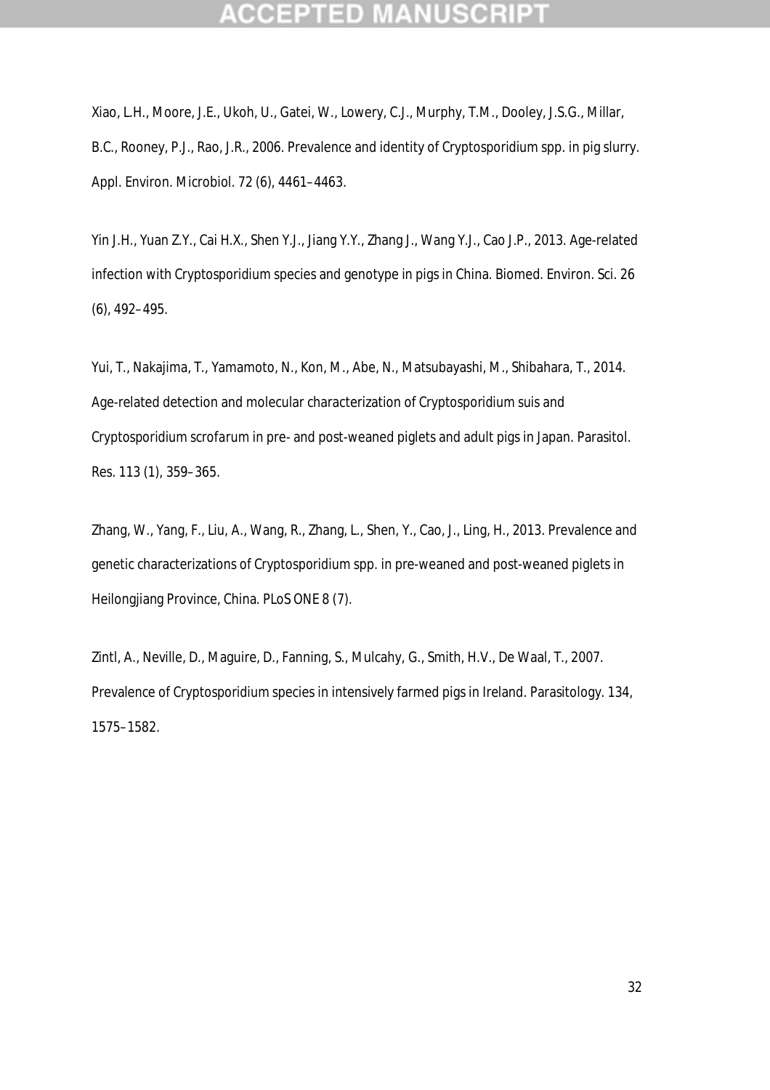Xiao, L.H., Moore, J.E., Ukoh, U., Gatei, W., Lowery, C.J., Murphy, T.M., Dooley, J.S.G., Millar, B.C., Rooney, P.J., Rao, J.R., 2006. Prevalence and identity of *Cryptosporidium* spp. in pig slurry. Appl. Environ. Microbiol. 72 (6), 4461–4463.

Yin J.H., Yuan Z.Y., Cai H.X., Shen Y.J., Jiang Y.Y., Zhang J., Wang Y.J., Cao J.P., 2013. Age-related infection with *Cryptosporidium* species and genotype in pigs in China. Biomed. Environ. Sci. 26 (6), 492–495.

Yui, T., Nakajima, T., Yamamoto, N., Kon, M., Abe, N., Matsubayashi, M., Shibahara, T., 2014. Age-related detection and molecular characterization of *Cryptosporidium suis* and *Cryptosporidium scrofarum* in pre- and post-weaned piglets and adult pigs in Japan. Parasitol. Res. 113 (1), 359–365.

Zhang, W., Yang, F., Liu, A., Wang, R., Zhang, L., Shen, Y., Cao, J., Ling, H., 2013. Prevalence and genetic characterizations of *Cryptosporidium* spp. in pre-weaned and post-weaned piglets in Heilongjiang Province, China. PLoS ONE 8 (7).

Zintl, A., Neville, D., Maguire, D., Fanning, S., Mulcahy, G., Smith, H.V., De Waal, T., 2007. Prevalence of *Cryptosporidium* species in intensively farmed pigs in Ireland. Parasitology. 134, 1575–1582.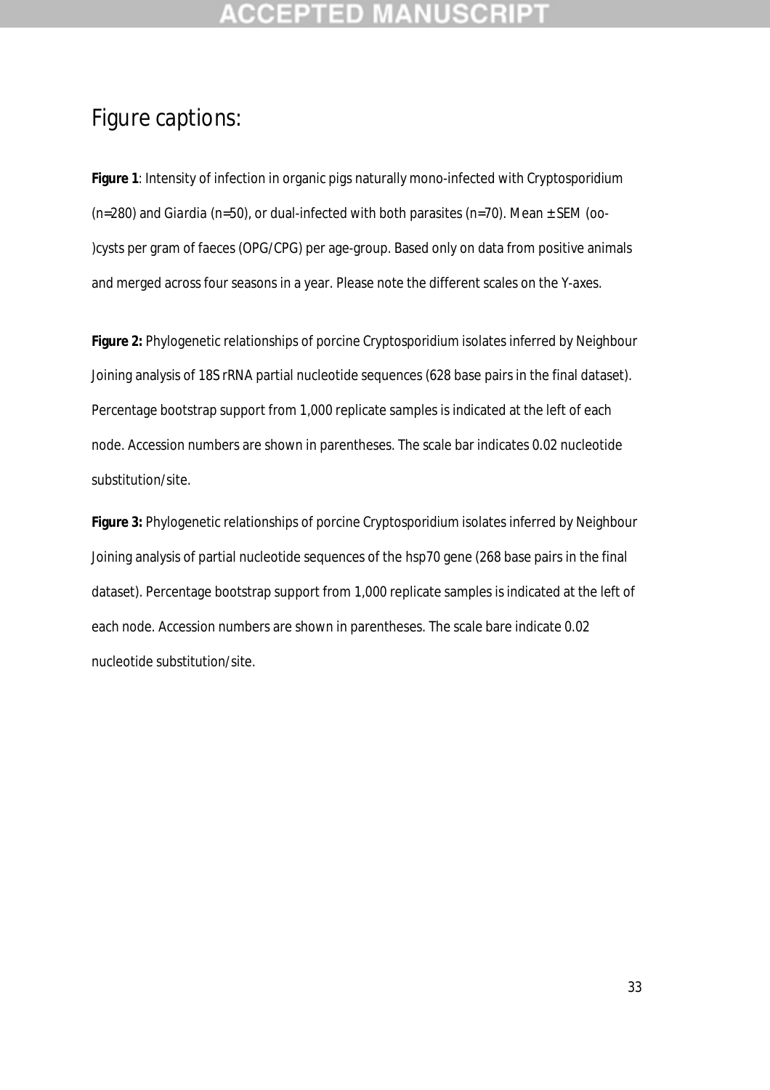## **CCEPTED**

## Figure captions:

**Figure 1**: Intensity of infection in organic pigs naturally mono-infected with *Cryptosporidium* (n=280) and *Giardia* (n=50), or dual-infected with both parasites (n=70). Mean ± SEM (oo- )cysts per gram of faeces (OPG/CPG) per age-group. Based only on data from positive animals and merged across four seasons in a year. Please note the different scales on the Y-axes.

**Figure 2:** Phylogenetic relationships of porcine *Cryptosporidium* isolates inferred by Neighbour Joining analysis of 18S rRNA partial nucleotide sequences (628 base pairs in the final dataset). Percentage bootstrap support from 1,000 replicate samples is indicated at the left of each node. Accession numbers are shown in parentheses. The scale bar indicates 0.02 nucleotide substitution/site.

**Figure 3:** Phylogenetic relationships of porcine *Cryptosporidium* isolates inferred by Neighbour Joining analysis of partial nucleotide sequences of the *hsp70* gene (268 base pairs in the final dataset). Percentage bootstrap support from 1,000 replicate samples is indicated at the left of each node. Accession numbers are shown in parentheses. The scale bare indicate 0.02 nucleotide substitution/site.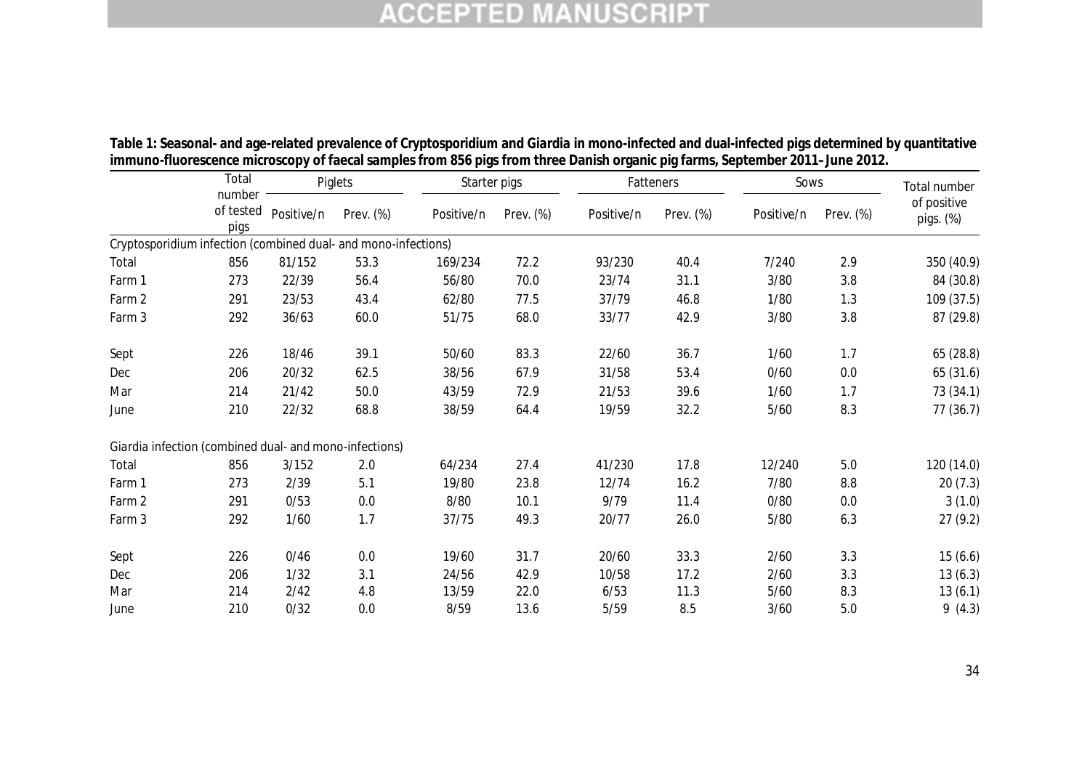|        | Total                                                          | Piglets    |           |            | Starter pigs |            | Fatteners | Sows       | Total number |                          |
|--------|----------------------------------------------------------------|------------|-----------|------------|--------------|------------|-----------|------------|--------------|--------------------------|
|        | number<br>of tested<br>pigs                                    | Positive/n | Prev. (%) | Positive/n | Prev. (%)    | Positive/n | Prev. (%) | Positive/n | Prev. (%)    | of positive<br>pigs. (%) |
|        | Cryptosporidium infection (combined dual- and mono-infections) |            |           |            |              |            |           |            |              |                          |
| Total  | 856                                                            | 81/152     | 53.3      | 169/234    | 72.2         | 93/230     | 40.4      | 7/240      | 2.9          | 350 (40.9)               |
| Farm 1 | 273                                                            | 22/39      | 56.4      | 56/80      | 70.0         | 23/74      | 31.1      | 3/80       | 3.8          | 84 (30.8)                |
| Farm 2 | 291                                                            | 23/53      | 43.4      | 62/80      | 77.5         | 37/79      | 46.8      | 1/80       | 1.3          | 109 (37.5)               |
| Farm 3 | 292                                                            | 36/63      | 60.0      | 51/75      | 68.0         | 33/77      | 42.9      | 3/80       | 3.8          | 87 (29.8)                |
| Sept   | 226                                                            | 18/46      | 39.1      | 50/60      | 83.3         | 22/60      | 36.7      | 1/60       | 1.7          | 65 (28.8)                |
| Dec    | 206                                                            | 20/32      | 62.5      | 38/56      | 67.9         | 31/58      | 53.4      | 0/60       | 0.0          | 65(31.6)                 |
| Mar    | 214                                                            | 21/42      | 50.0      | 43/59      | 72.9         | 21/53      | 39.6      | 1/60       | 1.7          | 73 (34.1)                |
| June   | 210                                                            | 22/32      | 68.8      | 38/59      | 64.4         | 19/59      | 32.2      | 5/60       | 8.3          | 77 (36.7)                |
|        | Giardia infection (combined dual- and mono-infections)         |            |           |            |              |            |           |            |              |                          |
| Total  | 856                                                            | 3/152      | 2.0       | 64/234     | 27.4         | 41/230     | 17.8      | 12/240     | 5.0          | 120 (14.0)               |
| Farm 1 | 273                                                            | 2/39       | 5.1       | 19/80      | 23.8         | 12/74      | 16.2      | 7/80       | 8.8          | 20(7.3)                  |
| Farm 2 | 291                                                            | 0/53       | 0.0       | 8/80       | 10.1         | 9/79       | 11.4      | 0/80       | 0.0          | 3(1.0)                   |
| Farm 3 | 292                                                            | 1/60       | 1.7       | 37/75      | 49.3         | 20/77      | 26.0      | 5/80       | 6.3          | 27(9.2)                  |
| Sept   | 226                                                            | 0/46       | 0.0       | 19/60      | 31.7         | 20/60      | 33.3      | 2/60       | 3.3          | 15(6.6)                  |
| Dec    | 206                                                            | 1/32       | 3.1       | 24/56      | 42.9         | 10/58      | 17.2      | 2/60       | 3.3          | 13(6.3)                  |
| Mar    | 214                                                            | 2/42       | 4.8       | 13/59      | 22.0         | 6/53       | 11.3      | $5/60$     | 8.3          | 13(6.1)                  |
| June   | 210                                                            | 0/32       | 0.0       | 8/59       | 13.6         | 5/59       | 8.5       | 3/60       | 5.0          | 9(4.3)                   |

**Table 1: Seasonal- and age-related prevalence of** *Cryptosporidium* **and** *Giardia* **in mono-infected and dual-infected pigs determined by quantitative immuno-fluorescence microscopy of faecal samples from 856 pigs from three Danish organic pig farms, September 2011–June 2012.**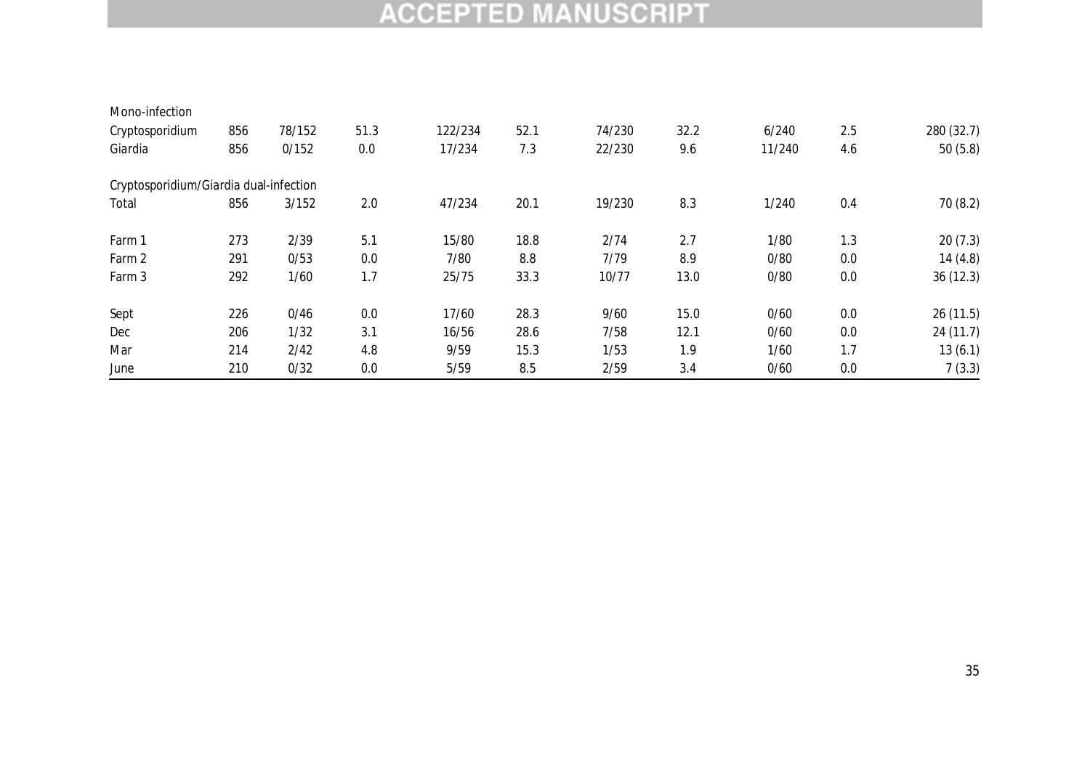| Mono-infection                         |     |        |      |         |      |        |      |        |     |            |
|----------------------------------------|-----|--------|------|---------|------|--------|------|--------|-----|------------|
| Cryptosporidium                        | 856 | 78/152 | 51.3 | 122/234 | 52.1 | 74/230 | 32.2 | 6/240  | 2.5 | 280 (32.7) |
| Giardia                                | 856 | 0/152  | 0.0  | 17/234  | 7.3  | 22/230 | 9.6  | 11/240 | 4.6 | 50(5.8)    |
| Cryptosporidium/Giardia dual-infection |     |        |      |         |      |        |      |        |     |            |
| Total                                  | 856 | 3/152  | 2.0  | 47/234  | 20.1 | 19/230 | 8.3  | 1/240  | 0.4 | 70(8.2)    |
| Farm 1                                 | 273 | 2/39   | 5.1  | 15/80   | 18.8 | 2/74   | 2.7  | 1/80   | 1.3 | 20(7.3)    |
| Farm 2                                 | 291 | 0/53   | 0.0  | 7/80    | 8.8  | 7/79   | 8.9  | 0/80   | 0.0 | 14(4.8)    |
| Farm 3                                 | 292 | 1/60   | 1.7  | 25/75   | 33.3 | 10/77  | 13.0 | 0/80   | 0.0 | 36(12.3)   |
| Sept                                   | 226 | 0/46   | 0.0  | 17/60   | 28.3 | 9/60   | 15.0 | 0/60   | 0.0 | 26(11.5)   |
| Dec                                    | 206 | 1/32   | 3.1  | 16/56   | 28.6 | 7/58   | 12.1 | 0/60   | 0.0 | 24 (11.7)  |
| Mar                                    | 214 | 2/42   | 4.8  | 9/59    | 15.3 | 1/53   | 1.9  | 1/60   | 1.7 | 13(6.1)    |
| June                                   | 210 | 0/32   | 0.0  | 5/59    | 8.5  | 2/59   | 3.4  | 0/60   | 0.0 | 7(3.3)     |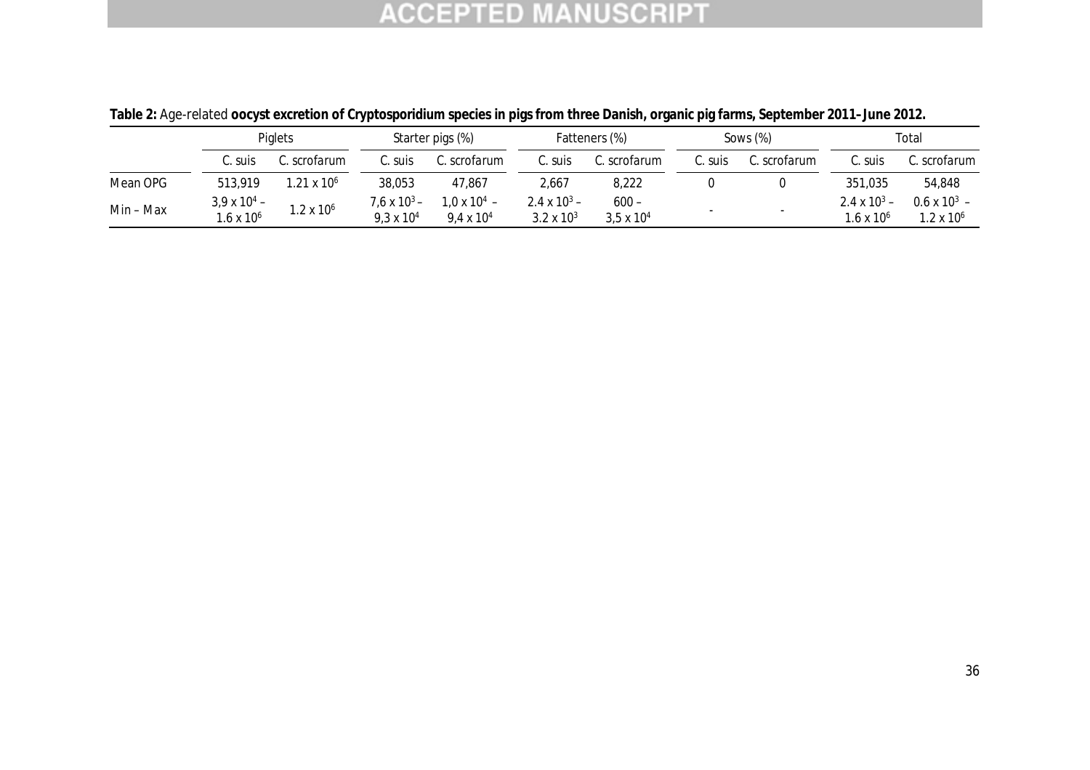|           | Piglets                                      |                      | Starter pigs (%)                           |                                       | Fatteners (%)                         |                                | Sows $(\%)$ |              | Total                                 |                                              |
|-----------|----------------------------------------------|----------------------|--------------------------------------------|---------------------------------------|---------------------------------------|--------------------------------|-------------|--------------|---------------------------------------|----------------------------------------------|
|           | C. suis                                      | C. scrofarum         | C. suis                                    | C. scrofarum                          | C. suis                               | C. scrofarum                   | C. suis     | C. scrofarum | C. suis                               | C. scrofarum                                 |
| Mean OPG  | 513,919                                      | $1.21 \times 10^{6}$ | 38,053                                     | 47.867                                | 2,667                                 | 8,222                          |             |              | 351.035                               | 54,848                                       |
| Min – Max | $3,9 \times 10^{4} -$<br>$1.6 \times 10^{6}$ | $1.2 \times 10^6$    | $7.6 \times 10^3 -$<br>$9.3 \times 10^{4}$ | $1.0 \times 10^{4}$ –<br>9.4 x $10^4$ | 2.4 x $10^3$ –<br>$3.2 \times 10^{3}$ | $600 -$<br>$3.5 \times 10^{4}$ |             |              | 2.4 x $10^3$ –<br>$1.6 \times 10^{6}$ | $0.6 \times 10^{3}$ –<br>$1.2 \times 10^{6}$ |

**Table 2:** Age-related **oocyst excretion of** *Cryptosporidium* **species in pigs from three Danish, organic pig farms, September 2011–June 2012.**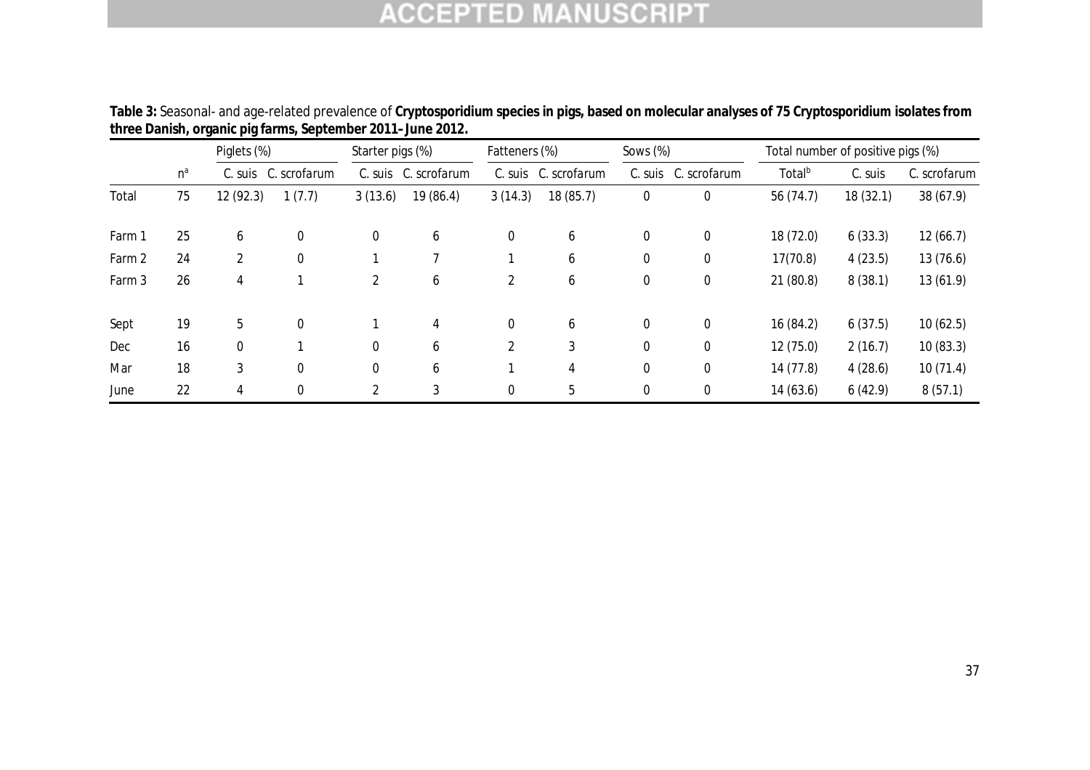|        |       | Piglets (%) |              | Starter pigs (%) |              | Fatteners (%) |              | Sows $(\%)$ |              | Total number of positive pigs (%) |          |              |
|--------|-------|-------------|--------------|------------------|--------------|---------------|--------------|-------------|--------------|-----------------------------------|----------|--------------|
|        | $n^a$ | C. suis     | C. scrofarum | C. suis          | C. scrofarum | C. suis       | C. scrofarum | C. suis     | C. scrofarum | Total <sup>b</sup>                | C. suis  | C. scrofarum |
| Total  | 75    | 12 (92.3)   | 1(7.7)       | 3(13.6)          | 19 (86.4)    | 3(14.3)       | 18 (85.7)    | $\pmb{0}$   | $\mathbf 0$  | 56 (74.7)                         | 18(32.1) | 38 (67.9)    |
| Farm 1 | 25    | 6           | $\mathbf 0$  | $\boldsymbol{0}$ | 6            | 0             | 6            | 0           | 0            | 18 (72.0)                         | 6(33.3)  | 12(66.7)     |
| Farm 2 | 24    | 2           | $\mathbf 0$  |                  |              |               | 6            | 0           | $\mathbf 0$  | 17(70.8)                          | 4(23.5)  | 13(76.6)     |
| Farm 3 | 26    | 4           |              | 2                | 6            | 2             | 6            | 0           | 0            | 21(80.8)                          | 8(38.1)  | 13 (61.9)    |
| Sept   | 19    | 5           | $\mathbf 0$  |                  | 4            | 0             | 6            | 0           | 0            | 16 (84.2)                         | 6(37.5)  | 10(62.5)     |
| Dec    | 16    | 0           |              | $\mathbf 0$      | 6            | 2             | 3            | 0           | 0            | 12(75.0)                          | 2(16.7)  | 10(83.3)     |
| Mar    | 18    | 3           | $\mathbf 0$  | $\Omega$         | 6            |               | 4            | 0           | 0            | 14 (77.8)                         | 4(28.6)  | 10(71.4)     |
| June   | 22    | 4           | $\mathbf 0$  | 2                | 3            | 0             | 5            | 0           | $\Omega$     | 14(63.6)                          | 6(42.9)  | 8(57.1)      |

**Table 3:** Seasonal- and age-related prevalence of *Cryptosporidium* **species in pigs, based on molecular analyses of 75** *Cryptosporidium* **isolates from three Danish, organic pig farms, September 2011–June 2012.**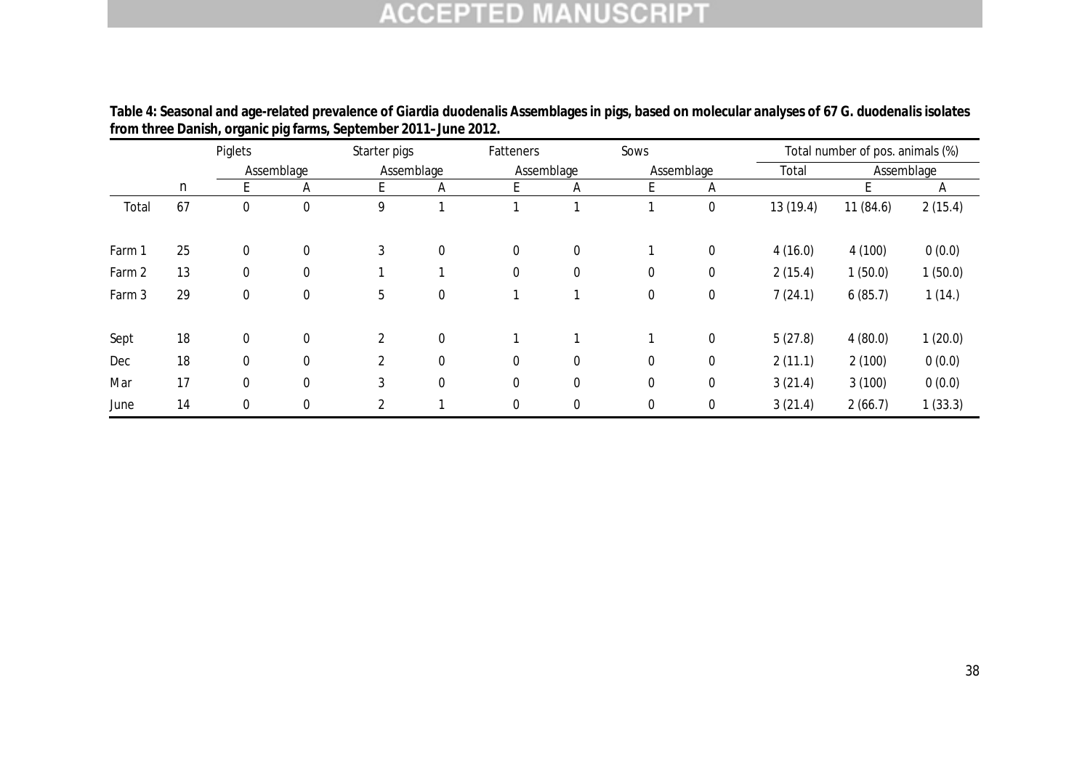|        | Piglets |              |                  | Starter pigs   |             | Fatteners   |            |                  |             | Total number of pos. animals (%) |          |            |
|--------|---------|--------------|------------------|----------------|-------------|-------------|------------|------------------|-------------|----------------------------------|----------|------------|
|        |         | Assemblage   |                  | Assemblage     |             |             | Assemblage |                  | Assemblage  |                                  |          | Assemblage |
|        | n       |              | Α                | E.             | A           |             | Α          | E                | Α           |                                  |          | A          |
| Total  | 67      | $\Omega$     | $\boldsymbol{0}$ | 9              | 1           |             |            |                  | $\mathbf 0$ | 13 (19.4)                        | 11(84.6) | 2(15.4)    |
| Farm 1 | 25      | $\Omega$     | 0                | 3              | $\mathbf 0$ | $\Omega$    | 0          |                  | $\mathbf 0$ | 4(16.0)                          | 4(100)   | 0(0.0)     |
| Farm 2 | 13      | 0            | 0                |                |             | 0           | 0          | $\pmb{0}$        | $\pmb{0}$   | 2(15.4)                          | 1(50.0)  | 1(50.0)    |
| Farm 3 | 29      | $\mathbf 0$  | $\boldsymbol{0}$ | 5              | $\mathbf 0$ |             |            | $\pmb{0}$        | $\pmb{0}$   | 7(24.1)                          | 6(85.7)  | 1(14.)     |
| Sept   | 18      | $\Omega$     | 0                | $\overline{2}$ | $\mathbf 0$ |             |            |                  | $\mathbf 0$ | 5(27.8)                          | 4(80.0)  | 1(20.0)    |
| Dec    | 18      | $\mathbf{0}$ | 0                | $\overline{2}$ | $\mathbf 0$ | $\Omega$    | 0          | $\mathbf 0$      | $\mathbf 0$ | 2(11.1)                          | 2(100)   | 0(0.0)     |
| Mar    | 17      | 0            | $\mathbf 0$      | 3              | $\mathbf 0$ | $\mathbf 0$ | 0          | $\boldsymbol{0}$ | $\pmb{0}$   | 3(21.4)                          | 3(100)   | 0(0.0)     |
| June   | 14      |              | 0                | 2              |             |             | 0          | 0                | 0           | 3(21.4)                          | 2(66.7)  | 1(33.3)    |

**Table 4: Seasonal and age-related prevalence of** *Giardia duodenalis* **Assemblages in pigs, based on molecular analyses of 67** *G. duodenalis* **isolates from three Danish, organic pig farms, September 2011–June 2012.**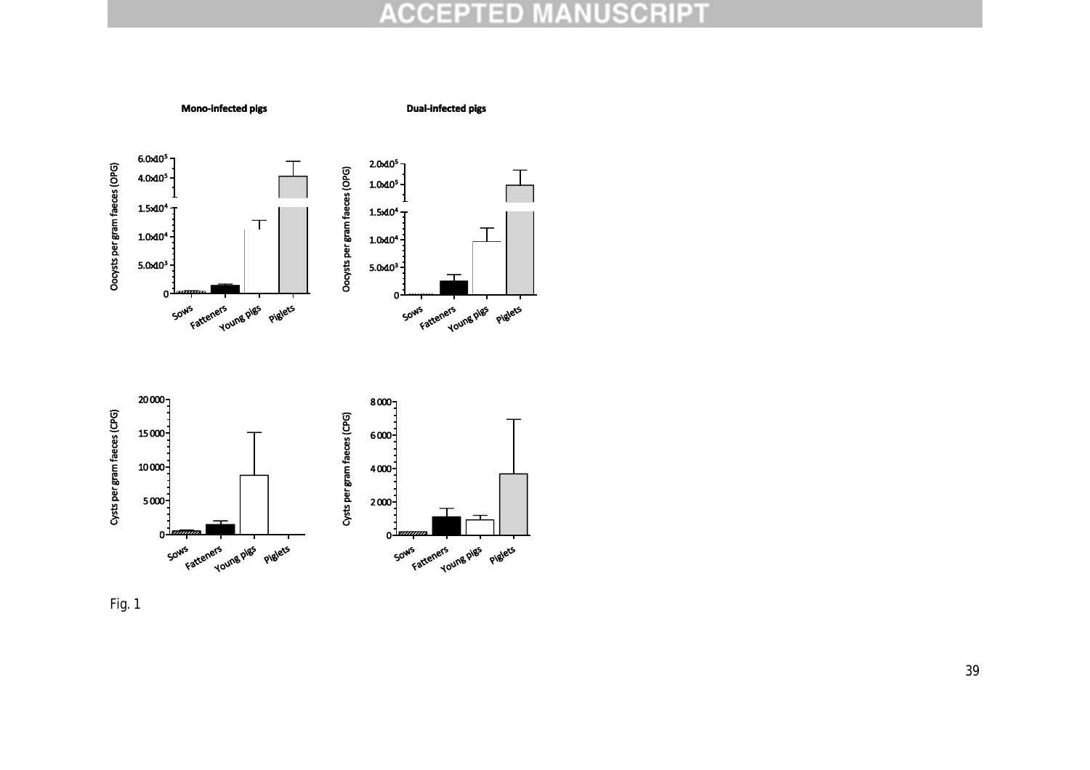

Fig. 1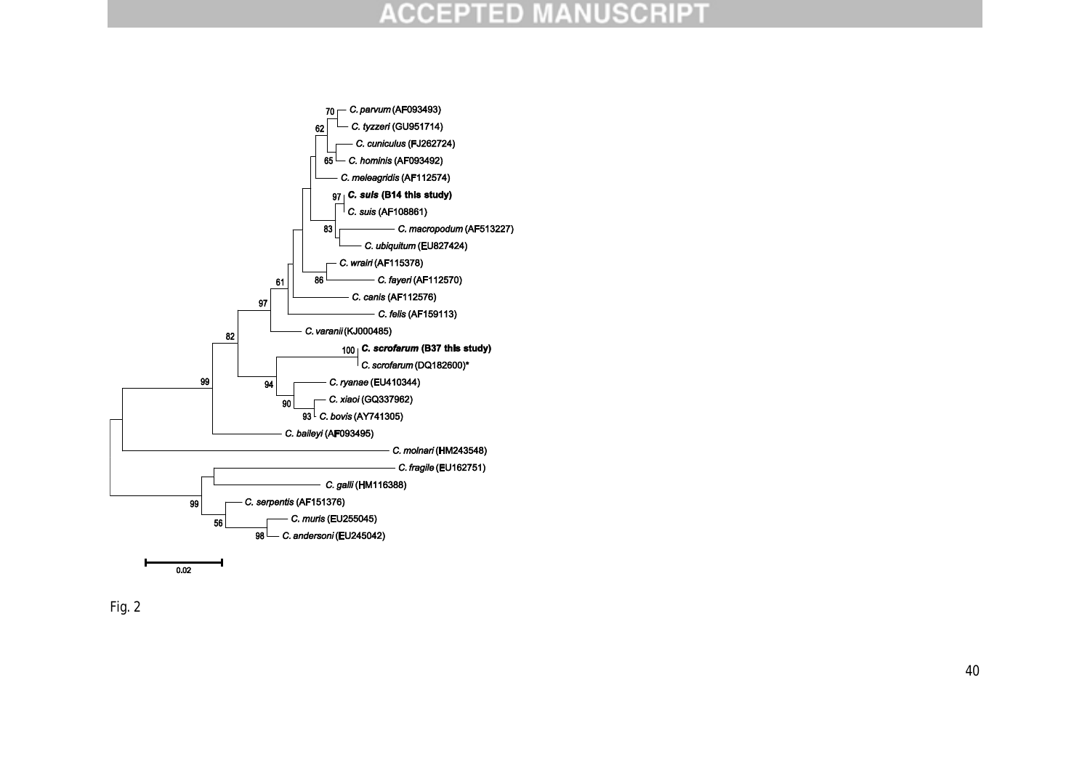